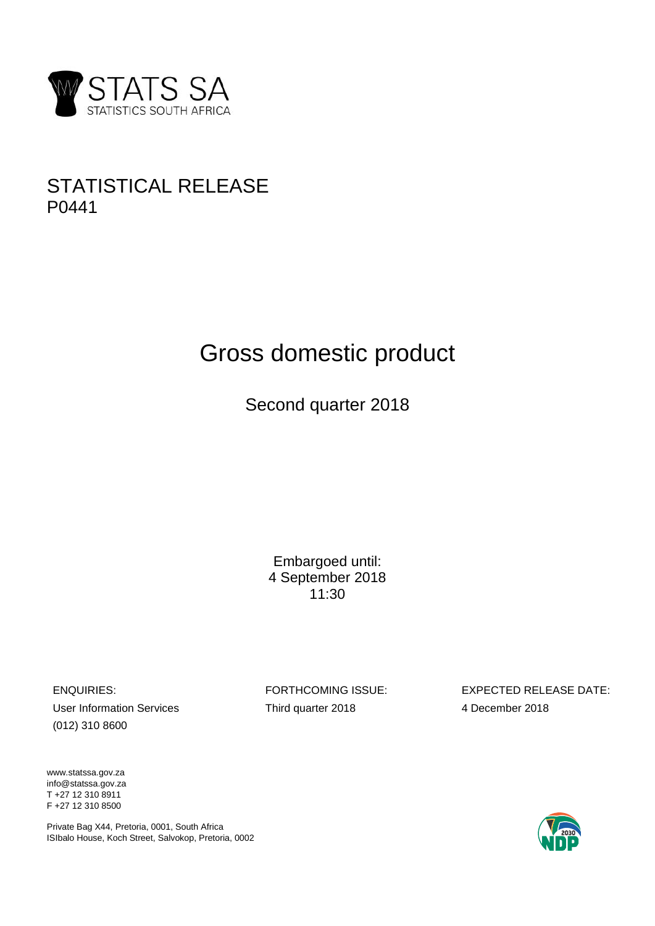

# STATISTICAL RELEASE P0441

# Gross domestic product

Second quarter 2018

Embargoed until: 4 September 2018 11:30

User Information Services Third quarter 2018 4 December 2018 (012) 310 8600

ENQUIRIES: FORTHCOMING ISSUE: EXPECTED RELEASE DATE:

www.statssa.gov.za info@statssa.gov.za T +27 12 310 8911 F +27 12 310 8500

Private Bag X44, Pretoria, 0001, South Africa ISIbalo House, Koch Street, Salvokop, Pretoria, 0002

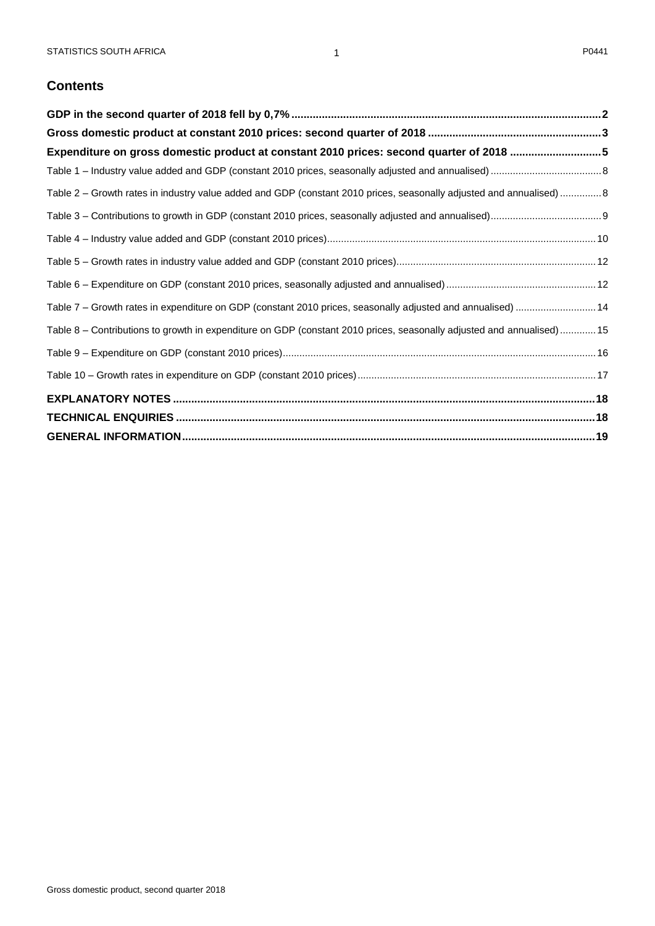# **Contents**

| Expenditure on gross domestic product at constant 2010 prices: second quarter of 2018 5                               |  |
|-----------------------------------------------------------------------------------------------------------------------|--|
|                                                                                                                       |  |
| Table 2 - Growth rates in industry value added and GDP (constant 2010 prices, seasonally adjusted and annualised)  8  |  |
|                                                                                                                       |  |
|                                                                                                                       |  |
|                                                                                                                       |  |
|                                                                                                                       |  |
| Table 7 - Growth rates in expenditure on GDP (constant 2010 prices, seasonally adjusted and annualised)  14           |  |
| Table 8 - Contributions to growth in expenditure on GDP (constant 2010 prices, seasonally adjusted and annualised) 15 |  |
|                                                                                                                       |  |
|                                                                                                                       |  |
|                                                                                                                       |  |
|                                                                                                                       |  |
|                                                                                                                       |  |

1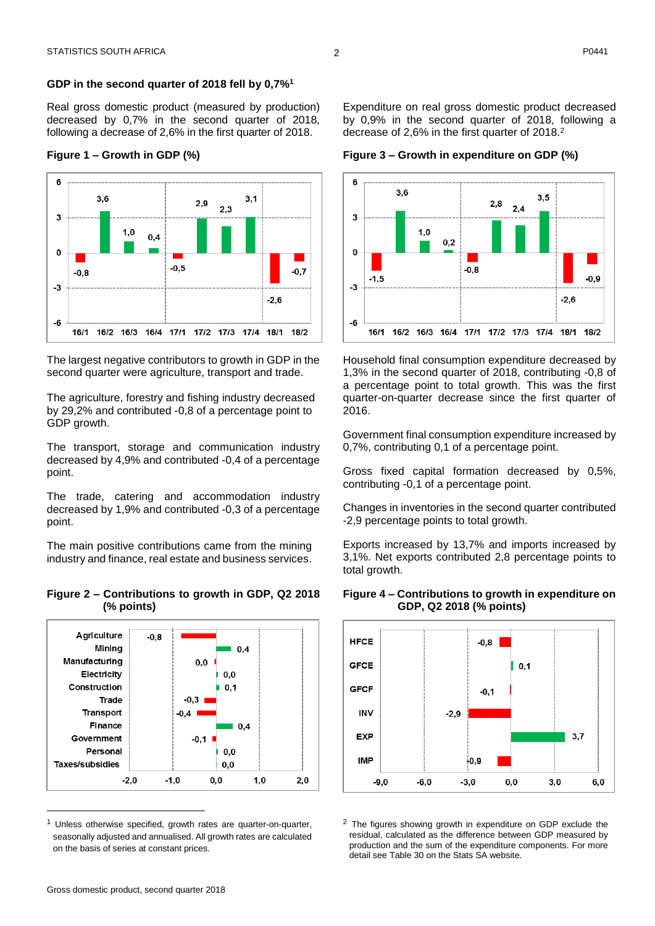#### <span id="page-2-0"></span>**GDP in the second quarter of 2018 fell by 0,7%<sup>1</sup>**

Real gross domestic product (measured by production) decreased by 0,7% in the second quarter of 2018, following a decrease of 2,6% in the first quarter of 2018.

#### **Figure 1 – Growth in GDP (%)**



The largest negative contributors to growth in GDP in the second quarter were agriculture, transport and trade.

The agriculture, forestry and fishing industry decreased by 29,2% and contributed -0,8 of a percentage point to GDP growth.

The transport, storage and communication industry decreased by 4,9% and contributed -0,4 of a percentage point.

The trade, catering and accommodation industry decreased by 1,9% and contributed -0,3 of a percentage point.

The main positive contributions came from the mining industry and finance, real estate and business services.

#### **Figure 2 – Contributions to growth in GDP, Q2 2018 (% points)**



Unless otherwise specified, growth rates are quarter-on-quarter, seasonally adjusted and annualised. All growth rates are calculated on the basis of series at constant prices.

Expenditure on real gross domestic product decreased by 0,9% in the second quarter of 2018, following a decrease of 2,6% in the first quarter of 2018. 2

**Figure 3 – Growth in expenditure on GDP (%)**



Household final consumption expenditure decreased by 1,3% in the second quarter of 2018, contributing -0,8 of a percentage point to total growth. This was the first quarter-on-quarter decrease since the first quarter of 2016.

Government final consumption expenditure increased by 0,7%, contributing 0,1 of a percentage point.

Gross fixed capital formation decreased by 0,5%, contributing -0,1 of a percentage point.

Changes in inventories in the second quarter contributed -2,9 percentage points to total growth.

Exports increased by 13,7% and imports increased by 3,1%. Net exports contributed 2,8 percentage points to total growth.



#### **Figure 4 – Contributions to growth in expenditure on GDP, Q2 2018 (% points)**

<sup>2</sup> The figures showing growth in expenditure on GDP exclude the residual, calculated as the difference between GDP measured by production and the sum of the expenditure components. For more detail see Table 30 on the Stats SA website.

 $\overline{a}$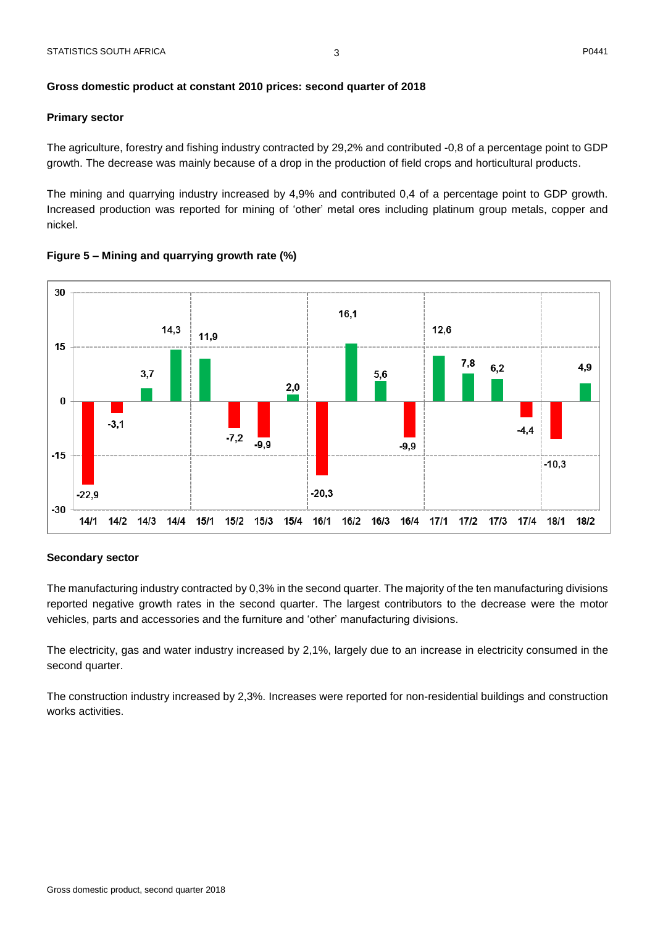#### <span id="page-3-0"></span>**Gross domestic product at constant 2010 prices: second quarter of 2018**

#### **Primary sector**

The agriculture, forestry and fishing industry contracted by 29,2% and contributed -0,8 of a percentage point to GDP growth. The decrease was mainly because of a drop in the production of field crops and horticultural products.

The mining and quarrying industry increased by 4,9% and contributed 0,4 of a percentage point to GDP growth. Increased production was reported for mining of 'other' metal ores including platinum group metals, copper and nickel.



#### **Figure 5 – Mining and quarrying growth rate (%)**

#### **Secondary sector**

The manufacturing industry contracted by 0,3% in the second quarter. The majority of the ten manufacturing divisions reported negative growth rates in the second quarter. The largest contributors to the decrease were the motor vehicles, parts and accessories and the furniture and 'other' manufacturing divisions.

The electricity, gas and water industry increased by 2,1%, largely due to an increase in electricity consumed in the second quarter.

The construction industry increased by 2,3%. Increases were reported for non-residential buildings and construction works activities.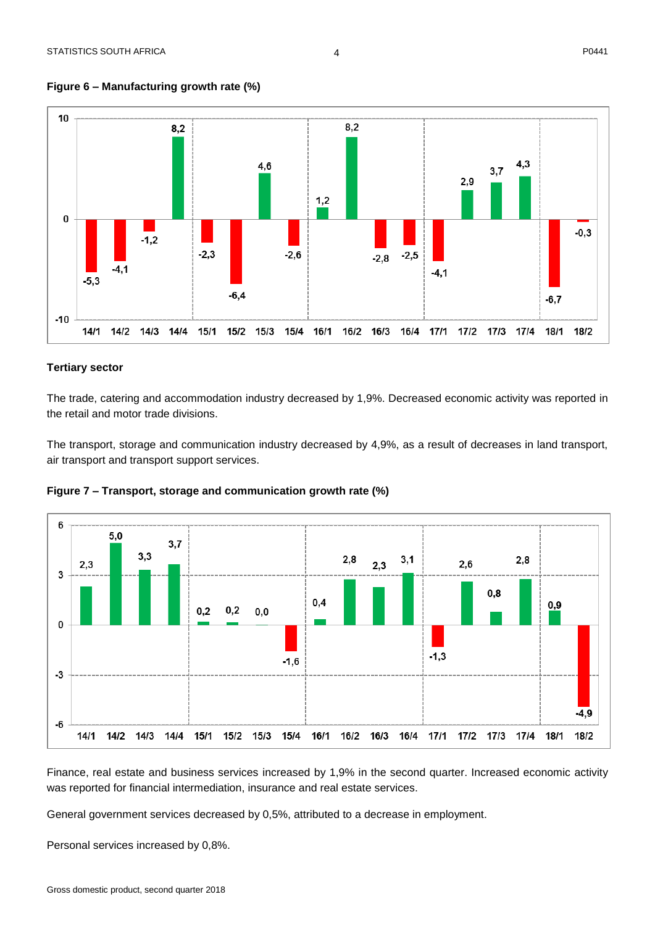$-4,9$ 

 $18/2$ 



#### **Figure 6 – Manufacturing growth rate (%)**

#### **Tertiary sector**

The trade, catering and accommodation industry decreased by 1,9%. Decreased economic activity was reported in the retail and motor trade divisions.

The transport, storage and communication industry decreased by 4,9%, as a result of decreases in land transport, air transport and transport support services.





Finance, real estate and business services increased by 1,9% in the second quarter. Increased economic activity was reported for financial intermediation, insurance and real estate services.

General government services decreased by 0,5%, attributed to a decrease in employment.

Personal services increased by 0,8%.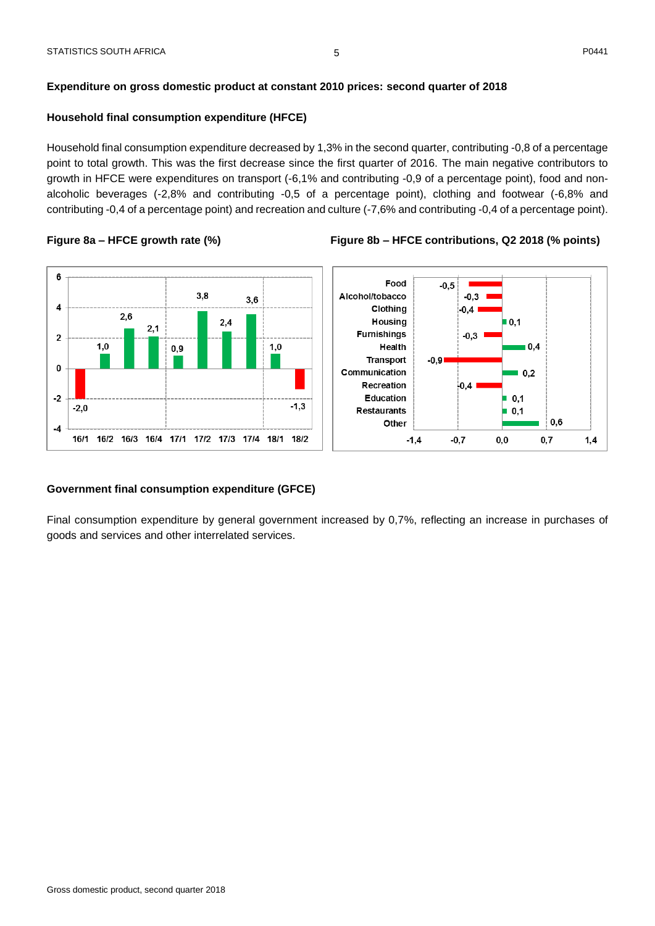#### <span id="page-5-0"></span>**Household final consumption expenditure (HFCE)**

Household final consumption expenditure decreased by 1,3% in the second quarter, contributing -0,8 of a percentage point to total growth. This was the first decrease since the first quarter of 2016. The main negative contributors to growth in HFCE were expenditures on transport (-6,1% and contributing -0,9 of a percentage point), food and nonalcoholic beverages (-2,8% and contributing -0,5 of a percentage point), clothing and footwear (-6,8% and contributing -0,4 of a percentage point) and recreation and culture (-7,6% and contributing -0,4 of a percentage point).



#### **Government final consumption expenditure (GFCE)**

Final consumption expenditure by general government increased by 0,7%, reflecting an increase in purchases of goods and services and other interrelated services.

# **Figure 8a – HFCE growth rate (%) Figure 8b – HFCE contributions, Q2 2018 (% points)**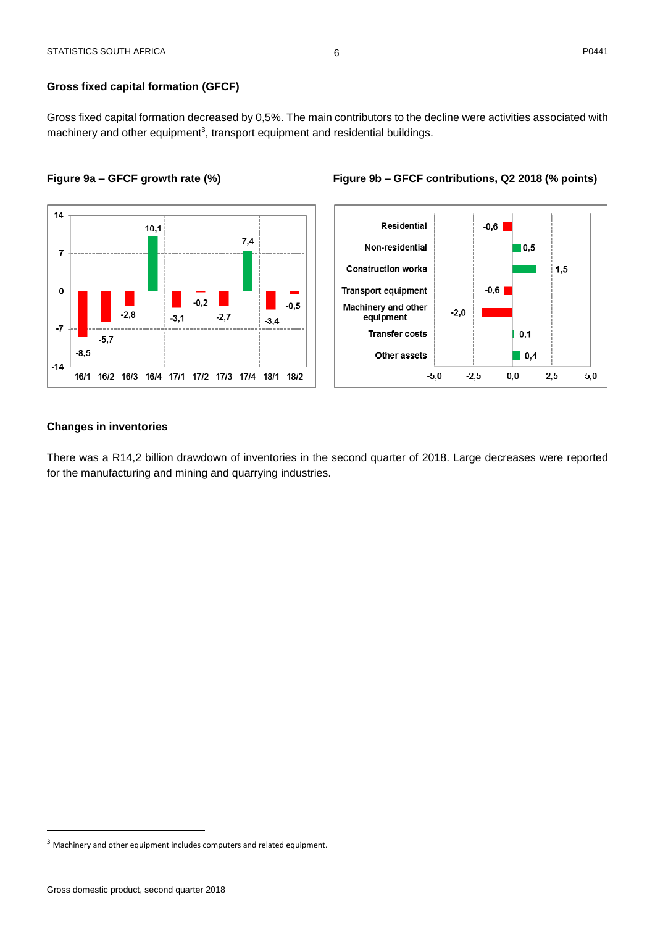Gross fixed capital formation decreased by 0,5%. The main contributors to the decline were activities associated with machinery and other equipment<sup>3</sup>, transport equipment and residential buildings.

6

#### **Figure 9a – GFCF growth rate (%) Figure 9b – GFCF contributions, Q2 2018 (% points)**





#### **Changes in inventories**

There was a R14,2 billion drawdown of inventories in the second quarter of 2018. Large decreases were reported for the manufacturing and mining and quarrying industries.

 $\overline{a}$ 

<sup>&</sup>lt;sup>3</sup> Machinery and other equipment includes computers and related equipment.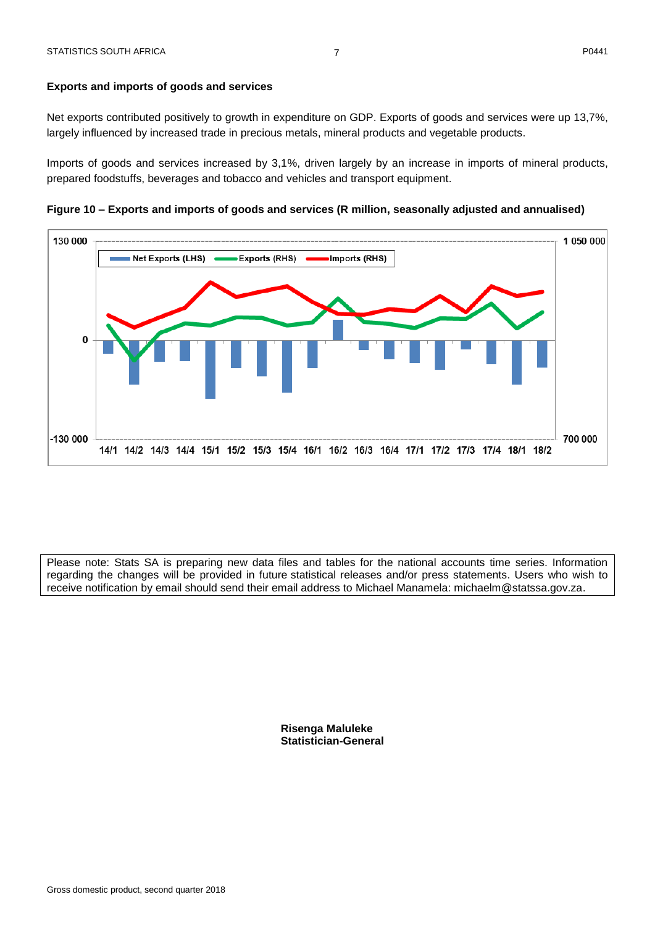#### **Exports and imports of goods and services**

Net exports contributed positively to growth in expenditure on GDP. Exports of goods and services were up 13,7%, largely influenced by increased trade in precious metals, mineral products and vegetable products.

Imports of goods and services increased by 3,1%, driven largely by an increase in imports of mineral products, prepared foodstuffs, beverages and tobacco and vehicles and transport equipment.

**Figure 10 – Exports and imports of goods and services (R million, seasonally adjusted and annualised)**



Please note: Stats SA is preparing new data files and tables for the national accounts time series. Information regarding the changes will be provided in future statistical releases and/or press statements. Users who wish to receive notification by email should send their email address to Michael Manamela: michaelm@statssa.gov.za.

> **Risenga Maluleke Statistician-General**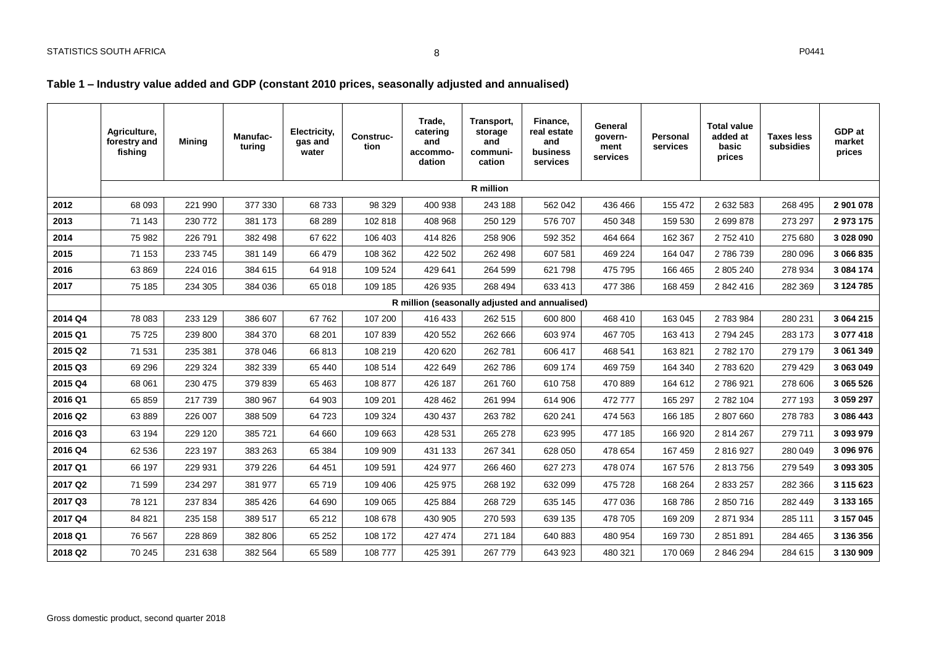### **Table 1 – Industry value added and GDP (constant 2010 prices, seasonally adjusted and annualised)**

<span id="page-8-1"></span><span id="page-8-0"></span>

|         | Agriculture,<br>forestry and<br>fishing | Mining  | Manufac-<br>turing | Electricity,<br>gas and<br>water | <b>Construc-</b><br>tion | Trade,<br>catering<br>and<br>accommo-<br>dation | Transport,<br>storage<br>and<br>communi-<br>cation | Finance,<br>real estate<br>and<br>business<br>services | General<br>govern-<br>ment<br>services | Personal<br>services | <b>Total value</b><br>added at<br>basic<br>prices | <b>Taxes less</b><br>subsidies | GDP at<br>market<br>prices |
|---------|-----------------------------------------|---------|--------------------|----------------------------------|--------------------------|-------------------------------------------------|----------------------------------------------------|--------------------------------------------------------|----------------------------------------|----------------------|---------------------------------------------------|--------------------------------|----------------------------|
|         |                                         |         |                    |                                  |                          |                                                 | R million                                          |                                                        |                                        |                      |                                                   |                                |                            |
| 2012    | 68 093                                  | 221 990 | 377 330            | 68733                            | 98 329                   | 400 938                                         | 243 188                                            | 562 042                                                | 436 466                                | 155 472              | 2 632 583                                         | 268 495                        | 2 901 078                  |
| 2013    | 71 143                                  | 230 772 | 381 173            | 68 289                           | 102 818                  | 408 968                                         | 250 129                                            | 576 707                                                | 450 348                                | 159 530              | 2 699 878                                         | 273 297                        | 2 973 175                  |
| 2014    | 75 982                                  | 226 791 | 382 498            | 67 622                           | 106 403                  | 414 826                                         | 258 906                                            | 592 352                                                | 464 664                                | 162 367              | 2 752 410                                         | 275 680                        | 3 028 090                  |
| 2015    | 71 153                                  | 233 745 | 381 149            | 66 479                           | 108 362                  | 422 502                                         | 262 498                                            | 607 581                                                | 469 224                                | 164 047              | 2786739                                           | 280 096                        | 3 066 835                  |
| 2016    | 63 869                                  | 224 016 | 384 615            | 64 918                           | 109 524                  | 429 641                                         | 264 599                                            | 621 798                                                | 475 795                                | 166 465              | 2 805 240                                         | 278 934                        | 3 084 174                  |
| 2017    | 75 185                                  | 234 305 | 384 036            | 65 018                           | 109 185                  | 426 935                                         | 268 494                                            | 633 413                                                | 477 386                                | 168 459              | 2 842 416                                         | 282 369                        | 3 124 785                  |
|         |                                         |         |                    |                                  |                          |                                                 |                                                    | R million (seasonally adjusted and annualised)         |                                        |                      |                                                   |                                |                            |
| 2014 Q4 | 78 083                                  | 233 129 | 386 607            | 67762                            | 107 200                  | 416 433                                         | 262 515                                            | 600 800                                                | 468 410                                | 163 045              | 2 783 984                                         | 280 231                        | 3 064 215                  |
| 2015 Q1 | 75 725                                  | 239 800 | 384 370            | 68 201                           | 107839                   | 420 552                                         | 262 666                                            | 603 974                                                | 467 705                                | 163 413              | 2 794 245                                         | 283 173                        | 3 077 418                  |
| 2015 Q2 | 71 531                                  | 235 381 | 378 046            | 66813                            | 108 219                  | 420 620                                         | 262 781                                            | 606 417                                                | 468 541                                | 163 821              | 2782170                                           | 279 179                        | 3 061 349                  |
| 2015 Q3 | 69 29 6                                 | 229 324 | 382 339            | 65 440                           | 108 514                  | 422 649                                         | 262 786                                            | 609 174                                                | 469 759                                | 164 340              | 2 783 620                                         | 279 429                        | 3 063 049                  |
| 2015 Q4 | 68 061                                  | 230 475 | 379 839            | 65 4 63                          | 108 877                  | 426 187                                         | 261 760                                            | 610758                                                 | 470 889                                | 164 612              | 2 786 921                                         | 278 606                        | 3 065 526                  |
| 2016 Q1 | 65 859                                  | 217 739 | 380 967            | 64 903                           | 109 201                  | 428 462                                         | 261 994                                            | 614 906                                                | 472 777                                | 165 297              | 2 782 104                                         | 277 193                        | 3 059 297                  |
| 2016 Q2 | 63 889                                  | 226 007 | 388 509            | 64 723                           | 109 324                  | 430 437                                         | 263782                                             | 620 241                                                | 474 563                                | 166 185              | 2 807 660                                         | 278 783                        | 3 086 443                  |
| 2016 Q3 | 63 194                                  | 229 120 | 385 721            | 64 660                           | 109 663                  | 428 531                                         | 265 278                                            | 623 995                                                | 477 185                                | 166 920              | 2 814 267                                         | 279 711                        | 3 093 979                  |
| 2016 Q4 | 62 536                                  | 223 197 | 383 263            | 65 384                           | 109 909                  | 431 133                                         | 267 341                                            | 628 050                                                | 478 654                                | 167 459              | 2 816 927                                         | 280 049                        | 3 096 976                  |
| 2017 Q1 | 66 197                                  | 229 931 | 379 226            | 64 451                           | 109 591                  | 424 977                                         | 266 460                                            | 627 273                                                | 478 074                                | 167 576              | 2 813 756                                         | 279 549                        | 3 093 305                  |
| 2017 Q2 | 71 599                                  | 234 297 | 381 977            | 65 719                           | 109 406                  | 425 975                                         | 268 192                                            | 632 099                                                | 475 728                                | 168 264              | 2 833 257                                         | 282 366                        | 3 115 623                  |
| 2017 Q3 | 78 121                                  | 237 834 | 385 426            | 64 690                           | 109 065                  | 425 884                                         | 268 729                                            | 635 145                                                | 477 036                                | 168 786              | 2 850 716                                         | 282 449                        | 3 133 165                  |
| 2017 Q4 | 84 821                                  | 235 158 | 389 517            | 65 212                           | 108 678                  | 430 905                                         | 270 593                                            | 639 135                                                | 478 705                                | 169 209              | 2 871 934                                         | 285 111                        | 3 157 045                  |
| 2018 Q1 | 76 567                                  | 228 869 | 382 806            | 65 252                           | 108 172                  | 427 474                                         | 271 184                                            | 640 883                                                | 480 954                                | 169 730              | 2 851 891                                         | 284 465                        | 3 136 356                  |
| 2018 Q2 | 70 245                                  | 231 638 | 382 564            | 65 589                           | 108 777                  | 425 391                                         | 267 779                                            | 643 923                                                | 480 321                                | 170 069              | 2 846 294                                         | 284 615                        | 3 130 909                  |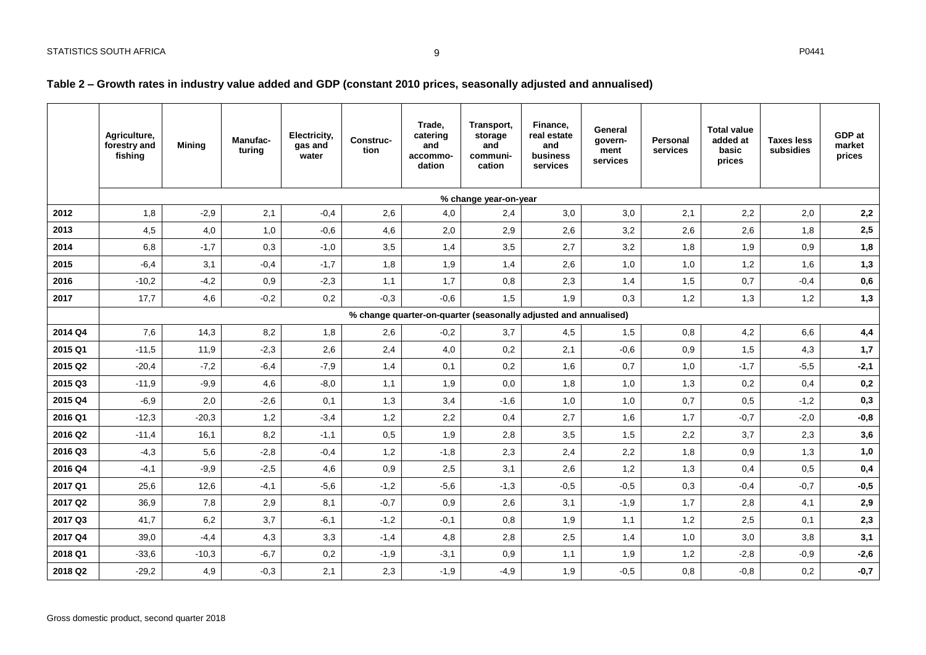### **Table 2 – Growth rates in industry value added and GDP (constant 2010 prices, seasonally adjusted and annualised)**

<span id="page-9-0"></span>

|         | Agriculture,<br>forestry and<br>fishing | <b>Mining</b> | <b>Manufac-</b><br>turing | Electricity,<br>gas and<br>water | <b>Construc-</b><br>tion | Trade.<br>catering<br>and<br>accommo-<br>dation | Transport,<br>storage<br>and<br>communi-<br>cation               | Finance.<br>real estate<br>and<br>business<br>services | General<br>govern-<br>ment<br>services | Personal<br>services | <b>Total value</b><br>added at<br>basic<br>prices | <b>Taxes less</b><br>subsidies | GDP at<br>market<br>prices |
|---------|-----------------------------------------|---------------|---------------------------|----------------------------------|--------------------------|-------------------------------------------------|------------------------------------------------------------------|--------------------------------------------------------|----------------------------------------|----------------------|---------------------------------------------------|--------------------------------|----------------------------|
|         |                                         |               |                           |                                  |                          |                                                 | % change year-on-year                                            |                                                        |                                        |                      |                                                   |                                |                            |
| 2012    | 1,8                                     | $-2,9$        | 2,1                       | $-0,4$                           | 2,6                      | 4,0                                             | 2,4                                                              | 3,0                                                    | 3,0                                    | 2,1                  | 2,2                                               | 2,0                            | 2,2                        |
| 2013    | 4,5                                     | 4,0           | 1,0                       | $-0,6$                           | 4,6                      | 2,0                                             | 2,9                                                              | 2,6                                                    | 3,2                                    | 2,6                  | 2,6                                               | 1,8                            | 2,5                        |
| 2014    | 6,8                                     | $-1,7$        | 0,3                       | $-1,0$                           | 3,5                      | 1,4                                             | 3,5                                                              | 2,7                                                    | 3,2                                    | 1,8                  | 1,9                                               | 0,9                            | 1,8                        |
| 2015    | $-6,4$                                  | 3,1           | $-0,4$                    | $-1,7$                           | 1,8                      | 1,9                                             | 1,4                                                              | 2,6                                                    | 1,0                                    | 1,0                  | 1,2                                               | 1,6                            | 1,3                        |
| 2016    | $-10,2$                                 | $-4,2$        | 0,9                       | $-2,3$                           | 1,1                      | 1,7                                             | 0,8                                                              | 2,3                                                    | 1,4                                    | 1,5                  | 0,7                                               | $-0,4$                         | $\mathbf{0},\mathbf{6}$    |
| 2017    | 17,7                                    | 4,6           | $-0,2$                    | 0,2                              | $-0,3$                   | $-0,6$                                          | 1,5                                                              | 1,9                                                    | 0,3                                    | 1,2                  | 1,3                                               | 1,2                            | 1,3                        |
|         |                                         |               |                           |                                  |                          |                                                 | % change quarter-on-quarter (seasonally adjusted and annualised) |                                                        |                                        |                      |                                                   |                                |                            |
| 2014 Q4 | 7,6                                     | 14,3          | 8,2                       | 1,8                              | 2,6                      | $-0,2$                                          | 3,7                                                              | 4,5                                                    | 1,5                                    | 0,8                  | 4,2                                               | 6,6                            | 4,4                        |
| 2015 Q1 | $-11,5$                                 | 11,9          | $-2,3$                    | 2,6                              | 2,4                      | 4,0                                             | 0,2                                                              | 2,1                                                    | $-0,6$                                 | 0,9                  | 1,5                                               | 4,3                            | 1,7                        |
| 2015 Q2 | $-20,4$                                 | $-7,2$        | $-6,4$                    | $-7,9$                           | 1,4                      | 0,1                                             | 0,2                                                              | 1,6                                                    | 0,7                                    | 1,0                  | $-1,7$                                            | $-5.5$                         | $-2,1$                     |
| 2015 Q3 | $-11,9$                                 | $-9,9$        | 4,6                       | $-8,0$                           | 1,1                      | 1,9                                             | 0,0                                                              | 1,8                                                    | 1,0                                    | 1,3                  | 0,2                                               | 0,4                            | $\mathbf{0},\mathbf{2}$    |
| 2015 Q4 | $-6,9$                                  | 2,0           | $-2,6$                    | 0,1                              | 1,3                      | 3,4                                             | $-1,6$                                                           | 1,0                                                    | 1,0                                    | 0,7                  | 0,5                                               | $-1,2$                         | 0,3                        |
| 2016 Q1 | $-12,3$                                 | $-20,3$       | 1,2                       | $-3,4$                           | 1,2                      | 2,2                                             | 0,4                                                              | 2,7                                                    | 1,6                                    | 1,7                  | $-0,7$                                            | $-2,0$                         | $-0,8$                     |
| 2016 Q2 | $-11,4$                                 | 16,1          | 8,2                       | $-1,1$                           | 0,5                      | 1,9                                             | 2,8                                                              | 3,5                                                    | 1,5                                    | 2,2                  | 3,7                                               | 2,3                            | 3,6                        |
| 2016 Q3 | $-4,3$                                  | 5,6           | $-2,8$                    | $-0,4$                           | 1,2                      | $-1,8$                                          | 2,3                                                              | 2,4                                                    | 2,2                                    | 1,8                  | 0,9                                               | 1,3                            | 1,0                        |
| 2016 Q4 | $-4,1$                                  | $-9,9$        | $-2,5$                    | 4,6                              | 0,9                      | 2,5                                             | 3,1                                                              | 2,6                                                    | 1,2                                    | 1,3                  | 0,4                                               | 0,5                            | 0,4                        |
| 2017 Q1 | 25,6                                    | 12,6          | $-4,1$                    | $-5,6$                           | $-1,2$                   | $-5,6$                                          | $-1,3$                                                           | $-0,5$                                                 | $-0,5$                                 | 0,3                  | $-0,4$                                            | $-0,7$                         | $-0,5$                     |
| 2017 Q2 | 36,9                                    | 7,8           | 2,9                       | 8,1                              | $-0,7$                   | 0,9                                             | 2,6                                                              | 3,1                                                    | $-1,9$                                 | 1,7                  | 2,8                                               | 4,1                            | 2,9                        |
| 2017 Q3 | 41,7                                    | 6,2           | 3,7                       | $-6,1$                           | $-1,2$                   | $-0,1$                                          | 0,8                                                              | 1,9                                                    | 1,1                                    | 1,2                  | 2,5                                               | 0,1                            | 2,3                        |
| 2017 Q4 | 39,0                                    | $-4,4$        | 4,3                       | 3,3                              | $-1,4$                   | 4,8                                             | 2,8                                                              | 2,5                                                    | 1,4                                    | 1,0                  | 3,0                                               | 3,8                            | 3,1                        |
| 2018 Q1 | $-33.6$                                 | $-10,3$       | $-6,7$                    | 0,2                              | $-1,9$                   | $-3,1$                                          | 0,9                                                              | 1,1                                                    | 1,9                                    | 1,2                  | $-2,8$                                            | $-0,9$                         | $-2,6$                     |
| 2018 Q2 | $-29.2$                                 | 4,9           | $-0.3$                    | 2,1                              | 2,3                      | $-1,9$                                          | $-4,9$                                                           | 1,9                                                    | $-0,5$                                 | 0,8                  | $-0.8$                                            | 0,2                            | $-0,7$                     |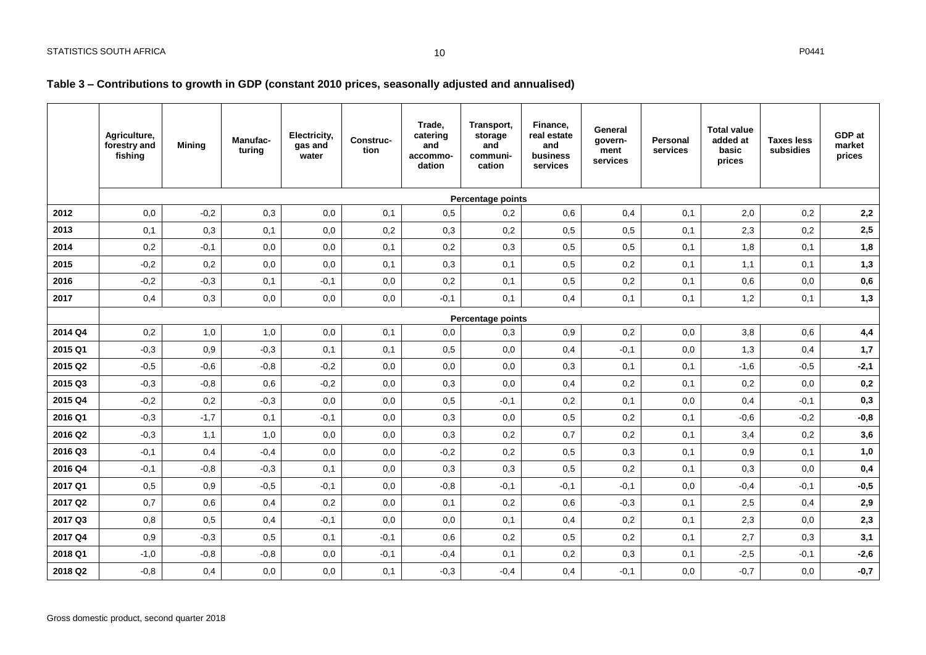### **Table 3 – Contributions to growth in GDP (constant 2010 prices, seasonally adjusted and annualised)**

<span id="page-10-0"></span>

|         | Agriculture,<br>forestry and<br>fishing | <b>Minina</b> | <b>Manufac-</b><br>turing | Electricity,<br>gas and<br>water | Construc-<br>tion | Trade.<br>catering<br>and<br>accommo-<br>dation | Transport,<br>storage<br>and<br>communi-<br>cation | Finance,<br>real estate<br>and<br>business<br>services | General<br>govern-<br>ment<br>services | Personal<br>services | <b>Total value</b><br>added at<br>basic<br>prices | <b>Taxes less</b><br>subsidies | GDP at<br>market<br>prices |
|---------|-----------------------------------------|---------------|---------------------------|----------------------------------|-------------------|-------------------------------------------------|----------------------------------------------------|--------------------------------------------------------|----------------------------------------|----------------------|---------------------------------------------------|--------------------------------|----------------------------|
|         |                                         |               |                           |                                  |                   |                                                 | Percentage points                                  |                                                        |                                        |                      |                                                   |                                |                            |
| 2012    | 0,0                                     | $-0,2$        | 0,3                       | 0,0                              | 0,1               | 0,5                                             | 0,2                                                | 0,6                                                    | 0,4                                    | 0,1                  | 2,0                                               | 0,2                            | 2,2                        |
| 2013    | 0,1                                     | 0,3           | 0,1                       | 0,0                              | 0,2               | 0,3                                             | 0,2                                                | 0,5                                                    | 0,5                                    | 0,1                  | 2,3                                               | 0,2                            | 2,5                        |
| 2014    | 0,2                                     | $-0,1$        | 0,0                       | 0,0                              | 0,1               | 0,2                                             | 0,3                                                | 0,5                                                    | 0,5                                    | 0,1                  | 1,8                                               | 0,1                            | 1,8                        |
| 2015    | $-0,2$                                  | 0,2           | 0,0                       | 0,0                              | 0,1               | 0,3                                             | 0,1                                                | 0,5                                                    | 0,2                                    | 0,1                  | 1,1                                               | 0,1                            | 1,3                        |
| 2016    | $-0,2$                                  | $-0,3$        | 0,1                       | $-0,1$                           | 0,0               | 0,2                                             | 0,1                                                | 0,5                                                    | 0,2                                    | 0,1                  | 0,6                                               | 0,0                            | $\mathbf{0},\mathbf{6}$    |
| 2017    | 0,4                                     | 0,3           | 0,0                       | 0,0                              | 0,0               | $-0,1$                                          | 0,1                                                | 0,4                                                    | 0,1                                    | 0,1                  | 1,2                                               | 0,1                            | 1,3                        |
|         |                                         |               |                           |                                  |                   |                                                 | Percentage points                                  |                                                        |                                        |                      |                                                   |                                |                            |
| 2014 Q4 | 0,2                                     | 1,0           | 1,0                       | 0,0                              | 0,1               | 0,0                                             | 0,3                                                | 0,9                                                    | 0,2                                    | 0,0                  | 3,8                                               | 0,6                            | 4,4                        |
| 2015 Q1 | $-0,3$                                  | 0,9           | $-0,3$                    | 0,1                              | 0,1               | 0,5                                             | 0,0                                                | 0,4                                                    | $-0,1$                                 | 0,0                  | 1,3                                               | 0,4                            | 1,7                        |
| 2015 Q2 | $-0,5$                                  | $-0,6$        | $-0,8$                    | $-0,2$                           | 0,0               | 0,0                                             | 0,0                                                | 0,3                                                    | 0,1                                    | 0,1                  | $-1,6$                                            | $-0,5$                         | $-2,1$                     |
| 2015 Q3 | $-0,3$                                  | $-0,8$        | 0,6                       | $-0,2$                           | 0,0               | 0,3                                             | 0,0                                                | 0,4                                                    | 0,2                                    | 0,1                  | 0,2                                               | 0,0                            | 0,2                        |
| 2015 Q4 | $-0,2$                                  | 0,2           | $-0,3$                    | 0,0                              | 0,0               | 0,5                                             | $-0,1$                                             | 0,2                                                    | 0,1                                    | 0,0                  | 0,4                                               | $-0,1$                         | 0,3                        |
| 2016 Q1 | $-0,3$                                  | $-1,7$        | 0,1                       | $-0,1$                           | 0,0               | 0,3                                             | 0,0                                                | 0,5                                                    | 0,2                                    | 0,1                  | $-0,6$                                            | $-0,2$                         | $-0,8$                     |
| 2016 Q2 | $-0,3$                                  | 1,1           | 1,0                       | 0,0                              | 0,0               | 0,3                                             | 0,2                                                | 0,7                                                    | 0,2                                    | 0,1                  | 3,4                                               | 0,2                            | 3,6                        |
| 2016 Q3 | $-0,1$                                  | 0,4           | $-0,4$                    | 0,0                              | 0,0               | $-0,2$                                          | 0,2                                                | 0,5                                                    | 0,3                                    | 0,1                  | 0,9                                               | 0,1                            | 1,0                        |
| 2016 Q4 | $-0,1$                                  | $-0,8$        | $-0,3$                    | 0,1                              | 0,0               | 0,3                                             | 0,3                                                | 0,5                                                    | 0,2                                    | 0,1                  | 0,3                                               | 0,0                            | 0,4                        |
| 2017 Q1 | 0,5                                     | 0,9           | $-0,5$                    | $-0,1$                           | 0,0               | $-0,8$                                          | $-0,1$                                             | $-0,1$                                                 | $-0,1$                                 | 0,0                  | $-0,4$                                            | $-0,1$                         | $-0,5$                     |
| 2017 Q2 | 0,7                                     | 0,6           | 0,4                       | 0,2                              | 0,0               | 0,1                                             | 0,2                                                | 0,6                                                    | $-0,3$                                 | 0,1                  | 2,5                                               | 0,4                            | 2,9                        |
| 2017 Q3 | 0,8                                     | 0,5           | 0,4                       | $-0,1$                           | 0,0               | 0,0                                             | 0,1                                                | 0,4                                                    | 0,2                                    | 0,1                  | 2,3                                               | 0,0                            | 2,3                        |
| 2017 Q4 | 0,9                                     | $-0,3$        | 0,5                       | 0,1                              | $-0,1$            | 0,6                                             | 0,2                                                | 0,5                                                    | 0,2                                    | 0,1                  | 2,7                                               | 0,3                            | 3,1                        |
| 2018 Q1 | $-1,0$                                  | $-0,8$        | $-0,8$                    | 0,0                              | $-0,1$            | $-0,4$                                          | 0,1                                                | 0,2                                                    | 0,3                                    | 0,1                  | $-2,5$                                            | $-0,1$                         | $-2,6$                     |
| 2018 Q2 | $-0,8$                                  | 0,4           | 0,0                       | 0,0                              | 0,1               | $-0,3$                                          | $-0,4$                                             | 0,4                                                    | $-0,1$                                 | 0,0                  | $-0,7$                                            | 0,0                            | $-0,7$                     |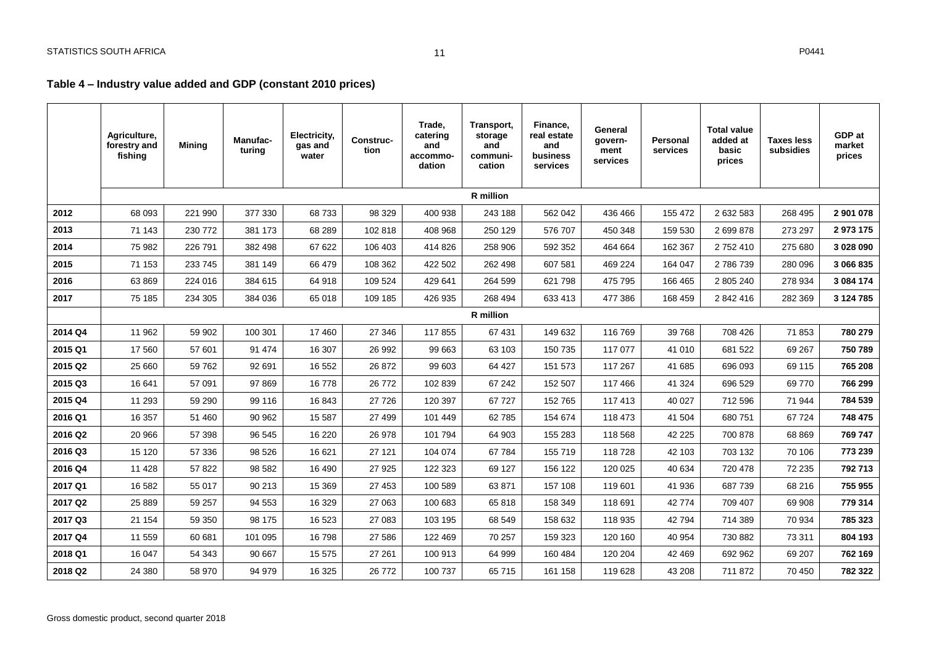### **Table 4 – Industry value added and GDP (constant 2010 prices)**

|                     | Agriculture,<br>forestry and<br>fishing | <b>Mining</b> | <b>Manufac-</b><br>turina | Electricity,<br>gas and<br>water | <b>Construc-</b><br>tion | Trade.<br>catering<br>and<br>accommo-<br>dation | Transport,<br>storage<br>and<br>communi-<br>cation | Finance,<br>real estate<br>and<br>business<br>services | General<br>govern-<br>ment<br>services | Personal<br>services | <b>Total value</b><br>added at<br>basic<br>prices | <b>Taxes less</b><br>subsidies | GDP at<br>market<br>prices |
|---------------------|-----------------------------------------|---------------|---------------------------|----------------------------------|--------------------------|-------------------------------------------------|----------------------------------------------------|--------------------------------------------------------|----------------------------------------|----------------------|---------------------------------------------------|--------------------------------|----------------------------|
|                     |                                         |               |                           |                                  |                          |                                                 | <b>R</b> million                                   |                                                        |                                        |                      |                                                   |                                |                            |
| 2012                | 68 093                                  | 221 990       | 377 330                   | 68733                            | 98 329                   | 400 938                                         | 243 188                                            | 562 042                                                | 436 466                                | 155 472              | 2 632 583                                         | 268 495                        | 2 901 078                  |
| 2013                | 71 143                                  | 230 772       | 381 173                   | 68 289                           | 102 818                  | 408 968                                         | 250 129                                            | 576 707                                                | 450 348                                | 159 530              | 2 699 878                                         | 273 297                        | 2 973 175                  |
| 2014                | 75 982                                  | 226 791       | 382 498                   | 67 622                           | 106 403                  | 414 826                                         | 258 906                                            | 592 352                                                | 464 664                                | 162 367              | 2 752 410                                         | 275 680                        | 3 028 090                  |
| 2015                | 71 153                                  | 233 745       | 381 149                   | 66 479                           | 108 362                  | 422 502                                         | 262 498                                            | 607 581                                                | 469 224                                | 164 047              | 2 786 739                                         | 280 096                        | 3 066 835                  |
| 2016                | 63 869                                  | 224 016       | 384 615                   | 64 918                           | 109 524                  | 429 641                                         | 264 599                                            | 621 798                                                | 475 795                                | 166 465              | 2 805 240                                         | 278 934                        | 3 084 174                  |
| 2017                | 75 185                                  | 234 305       | 384 036                   | 65 018                           | 109 185                  | 426 935                                         | 268 494                                            | 633 413                                                | 477 386                                | 168 459              | 2 842 416                                         | 282 369                        | 3 124 785                  |
|                     |                                         |               |                           |                                  |                          |                                                 | R million                                          |                                                        |                                        |                      |                                                   |                                |                            |
| 2014 Q4             | 11 962                                  | 59 902        | 100 301                   | 17 460                           | 27 346                   | 117855                                          | 67 431                                             | 149 632                                                | 116 769                                | 39 768               | 708 426                                           | 71853                          | 780 279                    |
| 2015 Q1             | 17 560                                  | 57 601        | 91 474                    | 16 307                           | 26 992                   | 99 663                                          | 63 103                                             | 150 735                                                | 117 077                                | 41 010               | 681 522                                           | 69 267                         | 750 789                    |
| 2015 Q2             | 25 660                                  | 59 762        | 92 691                    | 16 552                           | 26 872                   | 99 603                                          | 64 427                                             | 151 573                                                | 117 267                                | 41 685               | 696 093                                           | 69 115                         | 765 208                    |
| 2015 Q3             | 16 641                                  | 57 091        | 97 869                    | 16778                            | 26 772                   | 102 839                                         | 67 242                                             | 152 507                                                | 117 466                                | 41 324               | 696 529                                           | 69 770                         | 766 299                    |
| 2015 Q4             | 11 293                                  | 59 290        | 99 116                    | 16 843                           | 27 7 26                  | 120 397                                         | 67727                                              | 152 765                                                | 117 413                                | 40 027               | 712 596                                           | 71 944                         | 784 539                    |
| 2016 Q1             | 16 357                                  | 51 460        | 90 962                    | 15 5 87                          | 27 499                   | 101 449                                         | 62785                                              | 154 674                                                | 118 473                                | 41 504               | 680 751                                           | 67724                          | 748 475                    |
| 2016 Q2             | 20 966                                  | 57 398        | 96 545                    | 16 220                           | 26 978                   | 101 794                                         | 64 903                                             | 155 283                                                | 118 568                                | 42 2 2 5             | 700 878                                           | 68 869                         | 769 747                    |
| 2016 Q3             | 15 120                                  | 57 336        | 98 5 26                   | 16 621                           | 27 121                   | 104 074                                         | 67 784                                             | 155 719                                                | 118728                                 | 42 103               | 703 132                                           | 70 106                         | 773 239                    |
| 2016 Q4             | 11 4 28                                 | 57 822        | 98 582                    | 16 490                           | 27 9 25                  | 122 323                                         | 69 127                                             | 156 122                                                | 120 025                                | 40 634               | 720 478                                           | 72 235                         | 792 713                    |
| 2017 Q1             | 16 582                                  | 55 017        | 90 213                    | 15 369                           | 27 453                   | 100 589                                         | 63 871                                             | 157 108                                                | 119 601                                | 41 936               | 687 739                                           | 68 216                         | 755 955                    |
| 2017 Q <sub>2</sub> | 25 8 8 9                                | 59 257        | 94 553                    | 16 329                           | 27 063                   | 100 683                                         | 65818                                              | 158 349                                                | 118 691                                | 42 774               | 709 407                                           | 69 908                         | 779 314                    |
| 2017 Q3             | 21 154                                  | 59 350        | 98 175                    | 16 523                           | 27 083                   | 103 195                                         | 68 549                                             | 158 632                                                | 118 935                                | 42 794               | 714 389                                           | 70 934                         | 785 323                    |
| 2017 Q4             | 11 559                                  | 60 681        | 101 095                   | 16 798                           | 27 586                   | 122 469                                         | 70 257                                             | 159 323                                                | 120 160                                | 40 954               | 730 882                                           | 73 311                         | 804 193                    |
| 2018 Q1             | 16 047                                  | 54 343        | 90 667                    | 15 575                           | 27 261                   | 100 913                                         | 64 999                                             | 160 484                                                | 120 204                                | 42 469               | 692 962                                           | 69 207                         | 762 169                    |
| 2018 Q2             | 24 380                                  | 58 970        | 94 979                    | 16 325                           | 26 772                   | 100 737                                         | 65 715                                             | 161 158                                                | 119 628                                | 43 208               | 711 872                                           | 70 450                         | 782 322                    |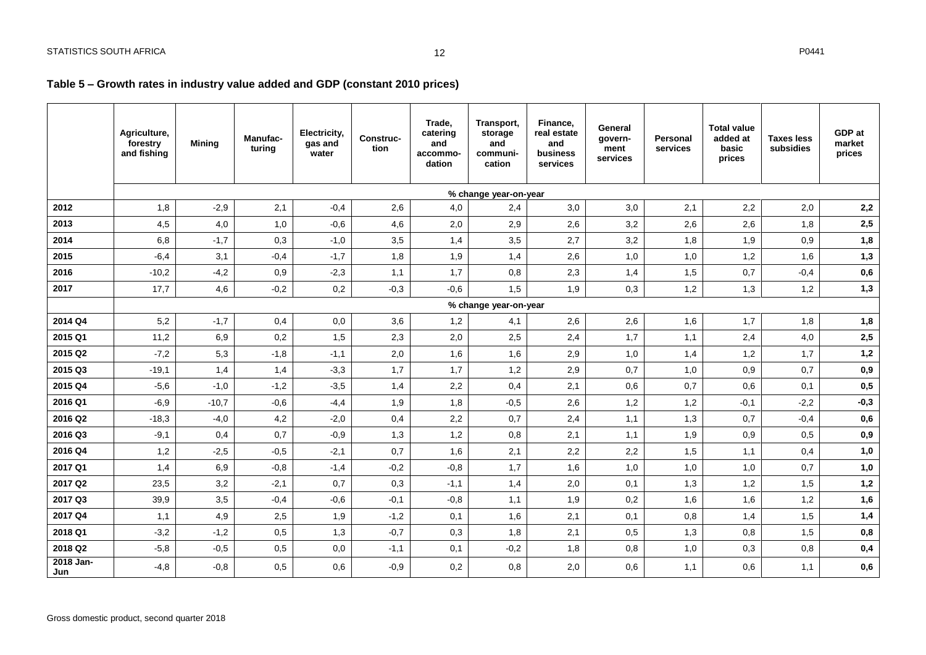### **Table 5 – Growth rates in industry value added and GDP (constant 2010 prices)**

<span id="page-12-1"></span><span id="page-12-0"></span>

|                  | Agriculture,<br>forestry<br>and fishing | <b>Mining</b> | Manufac-<br>turing | Electricity,<br>gas and<br>water | Construc-<br>tion | Trade,<br>catering<br>and<br>accommo-<br>dation | Transport,<br>storage<br>and<br>communi-<br>cation | Finance,<br>real estate<br>and<br>business<br>services | General<br>govern-<br>ment<br>services | Personal<br>services | <b>Total value</b><br>added at<br>basic<br>prices | <b>Taxes less</b><br>subsidies | GDP at<br>market<br>prices |
|------------------|-----------------------------------------|---------------|--------------------|----------------------------------|-------------------|-------------------------------------------------|----------------------------------------------------|--------------------------------------------------------|----------------------------------------|----------------------|---------------------------------------------------|--------------------------------|----------------------------|
|                  |                                         |               |                    |                                  |                   |                                                 | % change year-on-year                              |                                                        |                                        |                      |                                                   |                                |                            |
| 2012             | 1,8                                     | $-2,9$        | 2,1                | $-0.4$                           | 2,6               | 4,0                                             | 2,4                                                | 3,0                                                    | 3,0                                    | 2,1                  | 2,2                                               | 2,0                            | 2,2                        |
| 2013             | 4,5                                     | 4,0           | 1,0                | $-0,6$                           | 4,6               | 2,0                                             | 2,9                                                | 2,6                                                    | 3,2                                    | 2,6                  | 2,6                                               | 1,8                            | 2,5                        |
| 2014             | 6,8                                     | $-1,7$        | 0,3                | $-1,0$                           | 3,5               | 1,4                                             | 3,5                                                | 2,7                                                    | 3,2                                    | 1,8                  | 1,9                                               | 0,9                            | 1,8                        |
| 2015             | $-6,4$                                  | 3,1           | $-0,4$             | $-1,7$                           | 1,8               | 1,9                                             | 1,4                                                | 2,6                                                    | 1,0                                    | 1,0                  | 1,2                                               | 1,6                            | 1,3                        |
| 2016             | $-10,2$                                 | $-4,2$        | 0,9                | $-2,3$                           | 1,1               | 1,7                                             | 0,8                                                | 2,3                                                    | 1,4                                    | 1,5                  | 0,7                                               | $-0,4$                         | $\mathbf{0{,}6}$           |
| 2017             | 17,7                                    | 4,6           | $-0,2$             | 0,2                              | $-0,3$            | $-0,6$                                          | 1,5                                                | 1,9                                                    | 0,3                                    | 1,2                  | 1,3                                               | 1,2                            | 1,3                        |
|                  |                                         |               |                    |                                  |                   |                                                 | % change year-on-year                              |                                                        |                                        |                      |                                                   |                                |                            |
| 2014 Q4          | 5,2                                     | $-1,7$        | 0,4                | 0,0                              | 3,6               | 1,2                                             | 4,1                                                | 2,6                                                    | 2,6                                    | 1,6                  | 1,7                                               | 1,8                            | 1,8                        |
| 2015 Q1          | 11,2                                    | 6,9           | 0,2                | 1,5                              | 2,3               | 2,0                                             | 2,5                                                | 2,4                                                    | 1,7                                    | 1,1                  | 2,4                                               | 4,0                            | $\mathbf{2.5}$             |
| 2015 Q2          | $-7,2$                                  | 5,3           | $-1,8$             | $-1,1$                           | 2,0               | 1,6                                             | 1,6                                                | 2,9                                                    | 1,0                                    | 1,4                  | 1,2                                               | 1,7                            | 1,2                        |
| 2015 Q3          | $-19,1$                                 | 1,4           | 1,4                | $-3,3$                           | 1,7               | 1,7                                             | 1,2                                                | 2,9                                                    | 0,7                                    | 1,0                  | 0,9                                               | 0,7                            | 0,9                        |
| 2015 Q4          | $-5,6$                                  | $-1,0$        | $-1,2$             | $-3,5$                           | 1,4               | 2,2                                             | 0,4                                                | 2,1                                                    | 0,6                                    | 0,7                  | 0,6                                               | 0,1                            | 0,5                        |
| 2016 Q1          | $-6,9$                                  | $-10,7$       | $-0,6$             | $-4,4$                           | 1,9               | 1,8                                             | $-0,5$                                             | 2,6                                                    | 1,2                                    | 1,2                  | $-0,1$                                            | $-2,2$                         | $-0,3$                     |
| 2016 Q2          | $-18,3$                                 | $-4,0$        | 4,2                | $-2,0$                           | 0,4               | 2,2                                             | 0,7                                                | 2,4                                                    | 1,1                                    | 1,3                  | 0,7                                               | $-0,4$                         | $\mathbf{0{,}6}$           |
| 2016 Q3          | $-9,1$                                  | 0,4           | 0,7                | $-0,9$                           | 1,3               | 1,2                                             | 0,8                                                | 2,1                                                    | 1,1                                    | 1,9                  | 0,9                                               | 0,5                            | $0,9$                      |
| 2016 Q4          | 1,2                                     | $-2,5$        | $-0,5$             | $-2,1$                           | 0,7               | 1,6                                             | 2,1                                                | 2,2                                                    | 2,2                                    | 1,5                  | 1,1                                               | 0,4                            | 1,0                        |
| 2017 Q1          | 1,4                                     | 6,9           | $-0,8$             | $-1,4$                           | $-0,2$            | $-0,8$                                          | 1,7                                                | 1,6                                                    | 1,0                                    | 1,0                  | 1,0                                               | 0,7                            | 1,0                        |
| 2017 Q2          | 23,5                                    | 3,2           | $-2,1$             | 0,7                              | 0,3               | $-1,1$                                          | 1,4                                                | 2,0                                                    | 0,1                                    | 1,3                  | 1,2                                               | 1,5                            | 1,2                        |
| 2017 Q3          | 39,9                                    | 3,5           | $-0,4$             | $-0,6$                           | $-0,1$            | $-0,8$                                          | 1,1                                                | 1,9                                                    | 0,2                                    | 1,6                  | 1,6                                               | 1,2                            | 1,6                        |
| 2017 Q4          | 1,1                                     | 4,9           | 2,5                | 1,9                              | $-1,2$            | 0,1                                             | 1,6                                                | 2,1                                                    | 0,1                                    | 0,8                  | 1,4                                               | 1,5                            | 1,4                        |
| 2018 Q1          | $-3,2$                                  | $-1,2$        | 0,5                | 1,3                              | $-0,7$            | 0,3                                             | 1,8                                                | 2,1                                                    | 0,5                                    | 1,3                  | 0,8                                               | 1,5                            | 0,8                        |
| 2018 Q2          | $-5,8$                                  | $-0,5$        | 0,5                | 0,0                              | $-1,1$            | 0,1                                             | $-0,2$                                             | 1,8                                                    | 0,8                                    | 1,0                  | 0,3                                               | 0,8                            | $0,4$                      |
| 2018 Jan-<br>Jun | $-4,8$                                  | $-0,8$        | 0,5                | 0,6                              | $-0,9$            | 0,2                                             | 0,8                                                | 2,0                                                    | 0,6                                    | 1,1                  | 0,6                                               | 1,1                            | ${\bf 0,6}$                |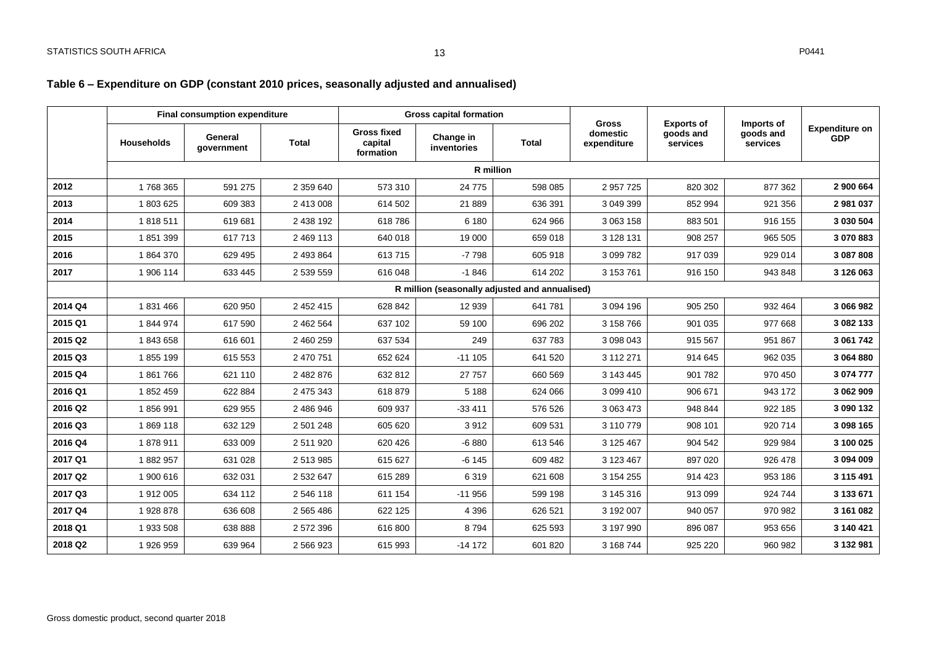### **Table 6 – Expenditure on GDP (constant 2010 prices, seasonally adjusted and annualised)**

|         | <b>Final consumption expenditure</b> |                       |              | <b>Gross capital formation</b>             |                                                | <b>Gross</b> | <b>Exports of</b>       | Imports of            |                       |                                     |
|---------|--------------------------------------|-----------------------|--------------|--------------------------------------------|------------------------------------------------|--------------|-------------------------|-----------------------|-----------------------|-------------------------------------|
|         | <b>Households</b>                    | General<br>qovernment | <b>Total</b> | <b>Gross fixed</b><br>capital<br>formation | Change in<br>inventories                       | <b>Total</b> | domestic<br>expenditure | goods and<br>services | goods and<br>services | <b>Expenditure on</b><br><b>GDP</b> |
|         |                                      |                       |              |                                            | R million                                      |              |                         |                       |                       |                                     |
| 2012    | 1768365                              | 591 275               | 2 359 640    | 573 310                                    | 24 7 7 5                                       | 598 085      | 2 957 725               | 820 302               | 877 362               | 2 900 664                           |
| 2013    | 1803625                              | 609 383               | 2 413 008    | 614 502                                    | 21 889                                         | 636 391      | 3 049 399               | 852 994               | 921 356               | 2981037                             |
| 2014    | 1818511                              | 619 681               | 2 438 192    | 618786                                     | 6 180                                          | 624 966      | 3 063 158               | 883 501               | 916 155               | 3 030 504                           |
| 2015    | 1851399                              | 617713                | 2 469 113    | 640 018                                    | 19 000                                         | 659 018      | 3 128 131               | 908 257               | 965 505               | 3 070 883                           |
| 2016    | 1864370                              | 629 495               | 2 493 864    | 613715                                     | $-7798$                                        | 605 918      | 3 099 782               | 917 039               | 929 014               | 3 087 808                           |
| 2017    | 1 906 114                            | 633 445               | 2 539 559    | 616 048                                    | $-1846$                                        | 614 202      | 3 153 761               | 916 150               | 943 848               | 3 126 063                           |
|         |                                      |                       |              |                                            | R million (seasonally adjusted and annualised) |              |                         |                       |                       |                                     |
| 2014 Q4 | 1831466                              | 620 950               | 2 452 415    | 628 842                                    | 12 939                                         | 641 781      | 3 094 196               | 905 250               | 932 464               | 3 066 982                           |
| 2015 Q1 | 1844974                              | 617 590               | 2 462 564    | 637 102                                    | 59 100                                         | 696 202      | 3 158 766               | 901 035               | 977 668               | 3 082 133                           |
| 2015 Q2 | 1843658                              | 616 601               | 2 460 259    | 637 534                                    | 249                                            | 637 783      | 3 098 043               | 915 567               | 951 867               | 3 061 742                           |
| 2015 Q3 | 1855 199                             | 615 553               | 2 470 751    | 652 624                                    | $-111105$                                      | 641 520      | 3 112 271               | 914 645               | 962 035               | 3 064 880                           |
| 2015 Q4 | 1861766                              | 621 110               | 2 482 876    | 632 812                                    | 27 757                                         | 660 569      | 3 143 445               | 901 782               | 970 450               | 3 074 777                           |
| 2016 Q1 | 1852459                              | 622 884               | 2 475 343    | 618 879                                    | 5 1 8 8                                        | 624 066      | 3 099 410               | 906 671               | 943 172               | 3 062 909                           |
| 2016 Q2 | 1856991                              | 629 955               | 2 486 946    | 609 937                                    | $-33411$                                       | 576 526      | 3 063 473               | 948 844               | 922 185               | 3 090 132                           |
| 2016 Q3 | 1869118                              | 632 129               | 2 501 248    | 605 620                                    | 3912                                           | 609 531      | 3 110 779               | 908 101               | 920 714               | 3 098 165                           |
| 2016 Q4 | 1878911                              | 633 009               | 2511920      | 620 426                                    | $-6880$                                        | 613 546      | 3 125 467               | 904 542               | 929 984               | 3 100 025                           |
| 2017 Q1 | 1882957                              | 631 028               | 2513985      | 615 627                                    | $-6145$                                        | 609 482      | 3 123 467               | 897 020               | 926 478               | 3 094 009                           |
| 2017 Q2 | 1 900 616                            | 632 031               | 2 532 647    | 615 289                                    | 6319                                           | 621 608      | 3 154 255               | 914 423               | 953 186               | 3 115 491                           |
| 2017 Q3 | 1912005                              | 634 112               | 2 546 118    | 611 154                                    | $-11956$                                       | 599 198      | 3 145 316               | 913 099               | 924 744               | 3 133 671                           |
| 2017 Q4 | 1928878                              | 636 608               | 2 565 486    | 622 125                                    | 4 3 9 6                                        | 626 521      | 3 192 007               | 940 057               | 970 982               | 3 161 082                           |
| 2018 Q1 | 1 933 508                            | 638 888               | 2 572 396    | 616800                                     | 8794                                           | 625 593      | 3 197 990               | 896 087               | 953 656               | 3 140 421                           |
| 2018 Q2 | 1926959                              | 639 964               | 2 566 923    | 615 993                                    | $-14172$                                       | 601 820      | 3 168 744               | 925 220               | 960 982               | 3 132 981                           |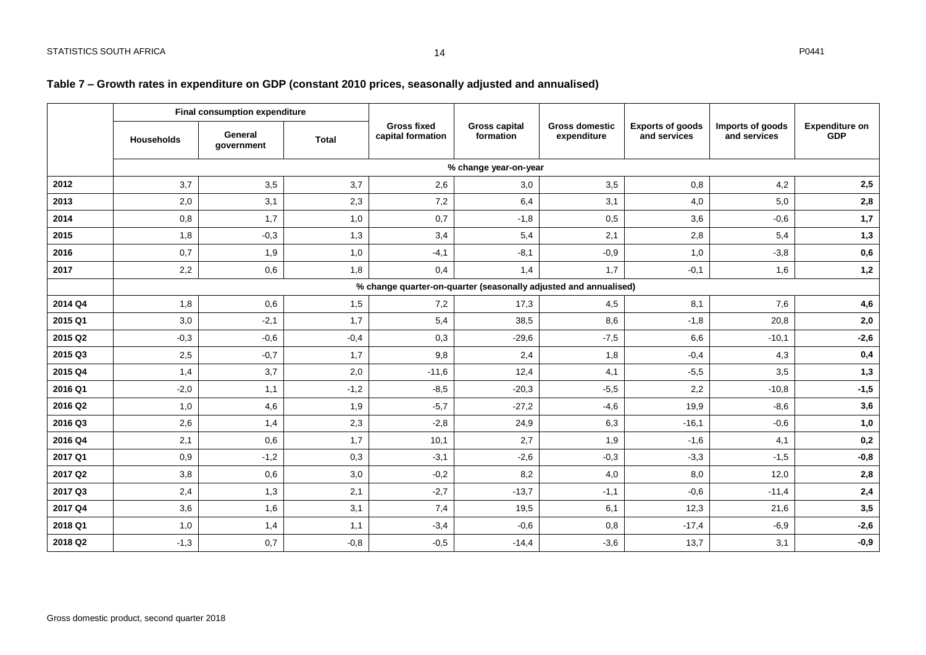### **Table 7 – Growth rates in expenditure on GDP (constant 2010 prices, seasonally adjusted and annualised)**

<span id="page-14-0"></span>

|         |                   | Final consumption expenditure |              |                                         |                                   |                                                                  |                                         |                                  |                                     |  |
|---------|-------------------|-------------------------------|--------------|-----------------------------------------|-----------------------------------|------------------------------------------------------------------|-----------------------------------------|----------------------------------|-------------------------------------|--|
|         | <b>Households</b> | General<br>government         | <b>Total</b> | <b>Gross fixed</b><br>capital formation | <b>Gross capital</b><br>formation | <b>Gross domestic</b><br>expenditure                             | <b>Exports of goods</b><br>and services | Imports of goods<br>and services | <b>Expenditure on</b><br><b>GDP</b> |  |
|         |                   |                               |              |                                         | % change year-on-year             |                                                                  |                                         |                                  |                                     |  |
| 2012    | 3,7               | 3,5                           | 3.7          | 2,6                                     | 3,0                               | 3,5                                                              | 0,8                                     | 4,2                              | 2,5                                 |  |
| 2013    | 2,0               | 3,1                           | 2,3          | 7,2                                     | 6,4                               | 3,1                                                              | 4,0                                     | 5,0                              | 2,8                                 |  |
| 2014    | 0,8               | 1,7                           | 1,0          | 0,7                                     | $-1,8$                            | 0,5                                                              | 3,6                                     | $-0,6$                           | 1,7                                 |  |
| 2015    | 1,8               | $-0,3$                        | 1,3          | 3,4                                     | 5,4                               | 2,1                                                              | 2,8                                     | 5,4                              | 1,3                                 |  |
| 2016    | 0,7               | 1,9                           | 1,0          | $-4,1$                                  | $-8,1$                            | $-0,9$                                                           | 1,0                                     | $-3,8$                           | 0,6                                 |  |
| 2017    | 2,2               | 0,6                           | 1,8          | 0,4                                     | 1,4                               | 1,7                                                              | $-0,1$                                  | 1,6                              | 1,2                                 |  |
|         |                   |                               |              |                                         |                                   | % change quarter-on-quarter (seasonally adjusted and annualised) |                                         |                                  |                                     |  |
| 2014 Q4 | 1,8               | 0,6                           | 1,5          | 7,2                                     | 17,3                              | 4,5                                                              | 8,1                                     | 7,6                              | 4,6                                 |  |
| 2015 Q1 | 3,0               | $-2,1$                        | 1,7          | 5,4                                     | 38,5                              | 8,6                                                              | $-1,8$                                  | 20,8                             | 2,0                                 |  |
| 2015 Q2 | $-0,3$            | $-0,6$                        | $-0,4$       | 0,3                                     | $-29,6$                           | $-7,5$                                                           | 6,6                                     | $-10,1$                          | $-2,6$                              |  |
| 2015 Q3 | 2,5               | $-0,7$                        | 1,7          | 9,8                                     | 2,4                               | 1,8                                                              | $-0,4$                                  | 4,3                              | 0,4                                 |  |
| 2015 Q4 | 1,4               | 3,7                           | 2,0          | $-11,6$                                 | 12,4                              | 4,1                                                              | $-5,5$                                  | 3,5                              | 1,3                                 |  |
| 2016 Q1 | $-2,0$            | 1,1                           | $-1,2$       | $-8,5$                                  | $-20,3$                           | $-5,5$                                                           | 2,2                                     | $-10,8$                          | $-1,5$                              |  |
| 2016 Q2 | 1,0               | 4,6                           | 1,9          | $-5,7$                                  | $-27,2$                           | $-4,6$                                                           | 19,9                                    | $-8,6$                           | 3,6                                 |  |
| 2016 Q3 | 2,6               | 1,4                           | 2,3          | $-2,8$                                  | 24,9                              | 6,3                                                              | $-16,1$                                 | $-0,6$                           | 1,0                                 |  |
| 2016 Q4 | 2,1               | 0,6                           | 1,7          | 10,1                                    | 2,7                               | 1,9                                                              | $-1,6$                                  | 4,1                              | 0,2                                 |  |
| 2017 Q1 | 0,9               | $-1,2$                        | 0,3          | $-3,1$                                  | $-2,6$                            | $-0,3$                                                           | $-3,3$                                  | $-1,5$                           | $-0,8$                              |  |
| 2017 Q2 | 3,8               | 0,6                           | 3,0          | $-0,2$                                  | 8,2                               | 4,0                                                              | 8,0                                     | 12,0                             | 2,8                                 |  |
| 2017 Q3 | 2,4               | 1,3                           | 2,1          | $-2,7$                                  | $-13,7$                           | $-1,1$                                                           | $-0,6$                                  | $-11,4$                          | 2,4                                 |  |
| 2017 Q4 | 3,6               | 1,6                           | 3,1          | 7,4                                     | 19,5                              | 6,1                                                              | 12,3                                    | 21,6                             | 3,5                                 |  |
| 2018 Q1 | 1,0               | 1,4                           | 1,1          | $-3,4$                                  | $-0,6$                            | 0,8                                                              | $-17,4$                                 | $-6,9$                           | $-2,6$                              |  |
| 2018 Q2 | $-1,3$            | 0,7                           | $-0,8$       | $-0,5$                                  | $-14,4$                           | $-3,6$                                                           | 13,7                                    | 3,1                              | $-0,9$                              |  |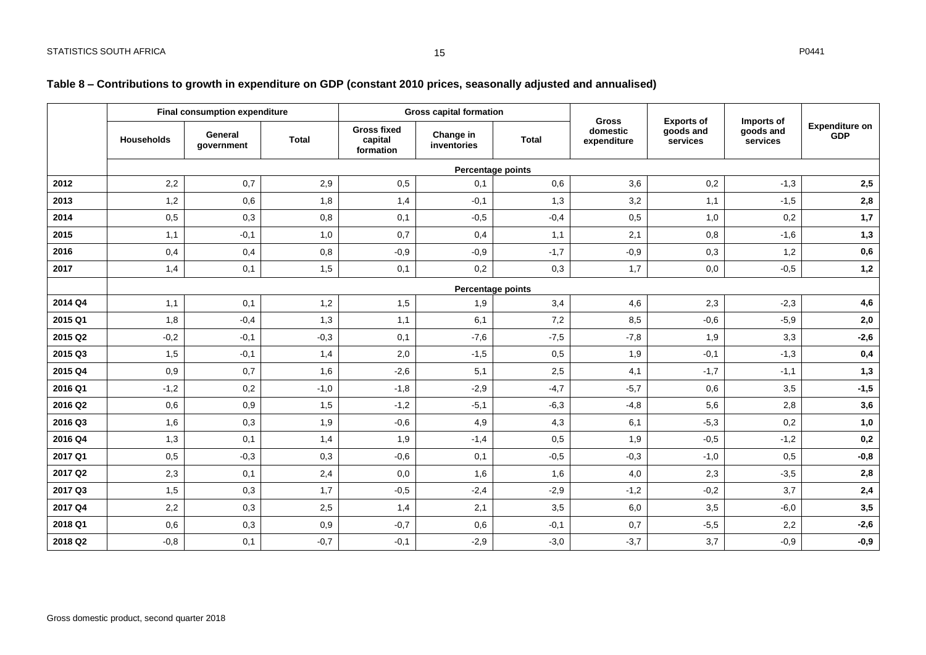### **Table 8 – Contributions to growth in expenditure on GDP (constant 2010 prices, seasonally adjusted and annualised)**

<span id="page-15-0"></span>

|         | <b>Final consumption expenditure</b> |                       |              |                                            | <b>Gross capital formation</b> |                   | <b>Exports of</b><br><b>Gross</b><br>domestic |                       |                                     | <b>Expenditure on</b> |
|---------|--------------------------------------|-----------------------|--------------|--------------------------------------------|--------------------------------|-------------------|-----------------------------------------------|-----------------------|-------------------------------------|-----------------------|
|         | <b>Households</b>                    | General<br>qovernment | <b>Total</b> | <b>Gross fixed</b><br>capital<br>formation | Change in<br>inventories       | <b>Total</b>      | expenditure                                   | goods and<br>services | Imports of<br>goods and<br>services | <b>GDP</b>            |
|         |                                      |                       |              |                                            |                                | Percentage points |                                               |                       |                                     |                       |
| 2012    | 2,2                                  | 0,7                   | 2,9          | 0,5                                        | 0,1                            | 0,6               | 3,6                                           | 0,2                   | $-1,3$                              | 2,5                   |
| 2013    | 1,2                                  | 0,6                   | 1,8          | 1,4                                        | $-0,1$                         | 1,3               | 3,2                                           | 1,1                   | $-1,5$                              | 2,8                   |
| 2014    | 0,5                                  | 0,3                   | 0,8          | 0,1                                        | $-0,5$                         | $-0,4$            | 0,5                                           | 1,0                   | 0,2                                 | 1,7                   |
| 2015    | 1,1                                  | $-0,1$                | 1,0          | 0,7                                        | 0,4                            | 1,1               | 2,1                                           | 0,8                   | $-1,6$                              | 1,3                   |
| 2016    | 0,4                                  | 0,4                   | 0,8          | $-0,9$                                     | $-0,9$                         | $-1,7$            | $-0,9$                                        | 0,3                   | 1,2                                 | 0,6                   |
| 2017    | 1,4                                  | 0,1                   | 1,5          | 0,1                                        | 0,2                            | 0,3               | 1,7                                           | 0,0                   | $-0,5$                              | 1,2                   |
|         |                                      |                       |              |                                            | Percentage points              |                   |                                               |                       |                                     |                       |
| 2014 Q4 | 1,1                                  | 0,1                   | 1,2          | 1,5                                        | 1,9                            | 3,4               | 4,6                                           | 2,3                   | $-2,3$                              | 4,6                   |
| 2015 Q1 | 1,8                                  | $-0,4$                | 1,3          | 1,1                                        | 6,1                            | 7,2               | 8,5                                           | $-0,6$                | $-5,9$                              | 2,0                   |
| 2015 Q2 | $-0,2$                               | $-0,1$                | $-0,3$       | 0,1                                        | $-7,6$                         | $-7,5$            | $-7,8$                                        | 1,9                   | 3,3                                 | $-2,6$                |
| 2015 Q3 | 1,5                                  | $-0,1$                | 1,4          | 2,0                                        | $-1,5$                         | 0,5               | 1,9                                           | $-0,1$                | $-1,3$                              | 0,4                   |
| 2015 Q4 | 0,9                                  | 0,7                   | 1,6          | $-2,6$                                     | 5,1                            | 2,5               | 4,1                                           | $-1,7$                | $-1,1$                              | 1,3                   |
| 2016 Q1 | $-1,2$                               | 0,2                   | $-1,0$       | $-1.8$                                     | $-2,9$                         | $-4,7$            | $-5,7$                                        | 0,6                   | 3,5                                 | $-1,5$                |
| 2016 Q2 | 0,6                                  | 0,9                   | 1,5          | $-1,2$                                     | $-5,1$                         | $-6,3$            | $-4,8$                                        | 5,6                   | 2,8                                 | 3,6                   |
| 2016 Q3 | 1,6                                  | 0,3                   | 1,9          | $-0,6$                                     | 4,9                            | 4,3               | 6,1                                           | $-5,3$                | 0,2                                 | 1,0                   |
| 2016 Q4 | 1,3                                  | 0.1                   | 1,4          | 1,9                                        | $-1,4$                         | 0,5               | 1,9                                           | $-0,5$                | $-1,2$                              | 0,2                   |
| 2017 Q1 | 0,5                                  | $-0,3$                | 0,3          | $-0,6$                                     | 0,1                            | $-0,5$            | $-0,3$                                        | $-1,0$                | 0,5                                 | $-0,8$                |
| 2017 Q2 | 2,3                                  | 0,1                   | 2,4          | 0,0                                        | 1,6                            | 1,6               | 4,0                                           | 2,3                   | $-3,5$                              | 2,8                   |
| 2017 Q3 | 1,5                                  | 0,3                   | 1,7          | $-0,5$                                     | $-2,4$                         | $-2,9$            | $-1,2$                                        | $-0,2$                | 3,7                                 | 2,4                   |
| 2017 Q4 | 2,2                                  | 0,3                   | 2,5          | 1,4                                        | 2,1                            | 3,5               | 6,0                                           | 3,5                   | $-6,0$                              | 3,5                   |
| 2018 Q1 | 0,6                                  | 0,3                   | 0,9          | $-0,7$                                     | 0,6                            | $-0,1$            | 0,7                                           | $-5,5$                | 2,2                                 | $-2,6$                |
| 2018 Q2 | $-0,8$                               | 0,1                   | $-0,7$       | $-0,1$                                     | $-2,9$                         | $-3,0$            | $-3,7$                                        | 3,7                   | $-0,9$                              | $-0,9$                |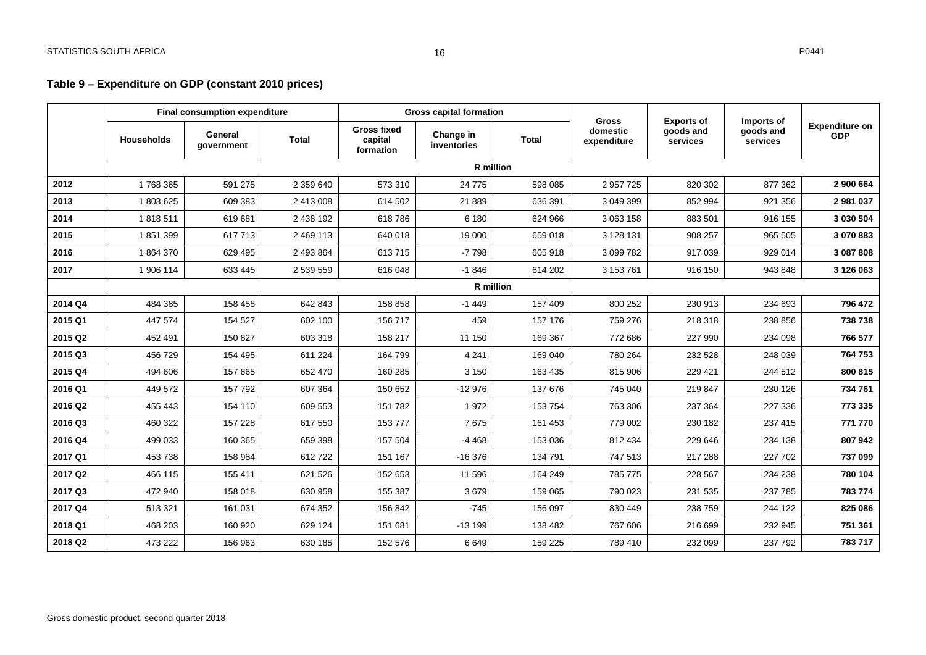### **Table 9 – Expenditure on GDP (constant 2010 prices)**

<span id="page-16-0"></span>

|         | <b>Final consumption expenditure</b> |                       |              | <b>Gross capital formation</b>             |                          | <b>Gross</b> | <b>Exports of</b>       | Imports of            |                       |                                     |
|---------|--------------------------------------|-----------------------|--------------|--------------------------------------------|--------------------------|--------------|-------------------------|-----------------------|-----------------------|-------------------------------------|
|         | <b>Households</b>                    | General<br>government | <b>Total</b> | <b>Gross fixed</b><br>capital<br>formation | Change in<br>inventories | <b>Total</b> | domestic<br>expenditure | goods and<br>services | goods and<br>services | <b>Expenditure on</b><br><b>GDP</b> |
|         |                                      |                       |              |                                            | R million                |              |                         |                       |                       |                                     |
| 2012    | 1768365                              | 591 275               | 2 359 640    | 573 310                                    | 24 7 7 5                 | 598 085      | 2 957 725               | 820 302               | 877 362               | 2 900 664                           |
| 2013    | 1803625                              | 609 383               | 2 413 008    | 614 502                                    | 21 889                   | 636 391      | 3 049 399               | 852 994               | 921 356               | 2 981 037                           |
| 2014    | 1818511                              | 619 681               | 2 438 192    | 618786                                     | 6 180                    | 624 966      | 3 063 158               | 883 501               | 916 155               | 3 030 504                           |
| 2015    | 1851399                              | 617713                | 2 469 113    | 640 018                                    | 19 000                   | 659 018      | 3 128 131               | 908 257               | 965 505               | 3 070 883                           |
| 2016    | 1864370                              | 629 495               | 2 493 864    | 613715                                     | $-7798$                  | 605 918      | 3 099 782               | 917 039               | 929 014               | 3 087 808                           |
| 2017    | 1 906 114                            | 633 445               | 2 539 559    | 616 048                                    | $-1846$                  | 614 202      | 3 153 761               | 916 150               | 943 848               | 3 126 063                           |
|         |                                      |                       |              |                                            |                          | R million    |                         |                       |                       |                                     |
| 2014 Q4 | 484 385                              | 158 458               | 642 843      | 158 858                                    | $-1449$                  | 157 409      | 800 252                 | 230 913               | 234 693               | 796 472                             |
| 2015 Q1 | 447 574                              | 154 527               | 602 100      | 156 717                                    | 459                      | 157 176      | 759 276                 | 218 318               | 238 856               | 738 738                             |
| 2015 Q2 | 452 491                              | 150 827               | 603 318      | 158 217                                    | 11 150                   | 169 367      | 772 686                 | 227 990               | 234 098               | 766 577                             |
| 2015 Q3 | 456 729                              | 154 495               | 611 224      | 164 799                                    | 4 2 4 1                  | 169 040      | 780 264                 | 232 528               | 248 039               | 764 753                             |
| 2015 Q4 | 494 606                              | 157865                | 652 470      | 160 285                                    | 3 1 5 0                  | 163 435      | 815 906                 | 229 421               | 244 512               | 800 815                             |
| 2016 Q1 | 449 572                              | 157 792               | 607 364      | 150 652                                    | $-12976$                 | 137 676      | 745 040                 | 219 847               | 230 126               | 734 761                             |
| 2016 Q2 | 455 443                              | 154 110               | 609 553      | 151 782                                    | 1972                     | 153 754      | 763 306                 | 237 364               | 227 336               | 773 335                             |
| 2016 Q3 | 460 322                              | 157 228               | 617 550      | 153777                                     | 7675                     | 161 453      | 779 002                 | 230 182               | 237 415               | 771 770                             |
| 2016 Q4 | 499 033                              | 160 365               | 659 398      | 157 504                                    | $-4468$                  | 153 036      | 812 434                 | 229 646               | 234 138               | 807942                              |
| 2017 Q1 | 453 738                              | 158 984               | 612722       | 151 167                                    | $-16376$                 | 134 791      | 747 513                 | 217 288               | 227 702               | 737 099                             |
| 2017 Q2 | 466 115                              | 155 411               | 621 526      | 152 653                                    | 11 596                   | 164 249      | 785 775                 | 228 567               | 234 238               | 780 104                             |
| 2017 Q3 | 472 940                              | 158 018               | 630 958      | 155 387                                    | 3679                     | 159 065      | 790 023                 | 231 535               | 237 785               | 783 774                             |
| 2017 Q4 | 513 321                              | 161 031               | 674 352      | 156 842                                    | $-745$                   | 156 097      | 830 449                 | 238 759               | 244 122               | 825 086                             |
| 2018 Q1 | 468 203                              | 160 920               | 629 124      | 151 681                                    | $-13199$                 | 138 482      | 767 606                 | 216 699               | 232 945               | 751 361                             |
| 2018 Q2 | 473 222                              | 156 963               | 630 185      | 152 576                                    | 6649                     | 159 225      | 789 410                 | 232 099               | 237 792               | 783 717                             |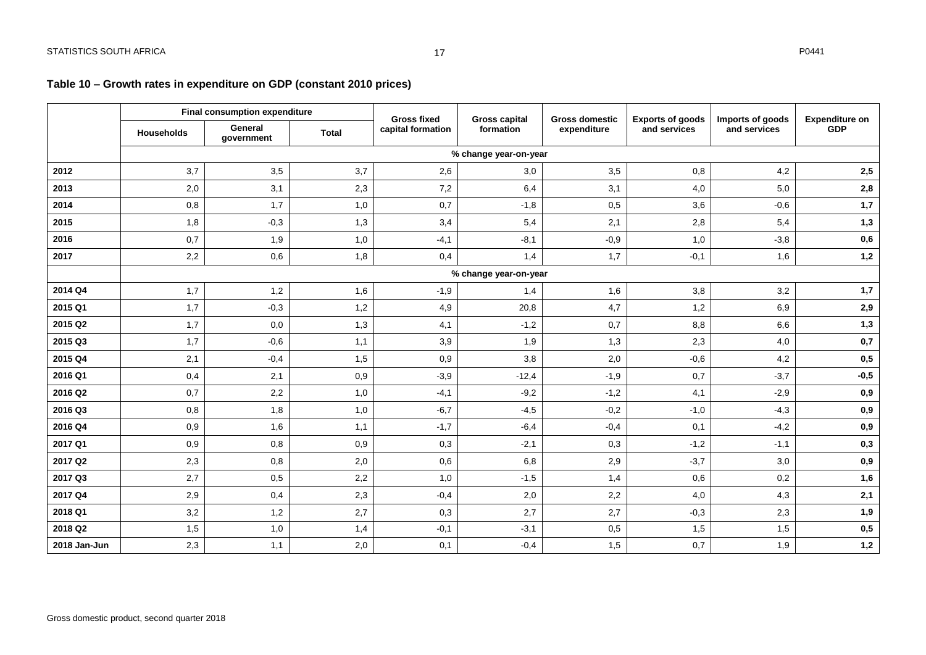<span id="page-17-0"></span>

|              | <b>Final consumption expenditure</b> |                       |              | <b>Gross fixed</b> | <b>Gross capital</b>  | <b>Gross domestic</b> | <b>Exports of goods</b> | Imports of goods | <b>Expenditure on</b> |
|--------------|--------------------------------------|-----------------------|--------------|--------------------|-----------------------|-----------------------|-------------------------|------------------|-----------------------|
|              | <b>Households</b>                    | General<br>qovernment | <b>Total</b> | capital formation  | formation             | expenditure           | and services            | and services     | <b>GDP</b>            |
|              |                                      |                       |              |                    | % change year-on-year |                       |                         |                  |                       |
| 2012         | 3,7                                  | 3,5                   | 3,7          | 2,6                | 3,0                   | 3,5                   | 0,8                     | 4,2              | $\mathbf{2.5}$        |
| 2013         | 2,0                                  | 3,1                   | 2,3          | 7,2                | 6,4                   | 3,1                   | 4,0                     | 5,0              | $\mathbf{2,8}$        |
| 2014         | 0,8                                  | 1,7                   | 1,0          | 0,7                | $-1,8$                | 0,5                   | 3,6                     | $-0,6$           | 1,7                   |
| 2015         | 1,8                                  | $-0,3$                | 1,3          | 3,4                | 5,4                   | 2,1                   | 2,8                     | 5,4              | 1,3                   |
| 2016         | 0,7                                  | 1,9                   | 1,0          | $-4,1$             | $-8,1$                | $-0,9$                | 1,0                     | $-3,8$           | ${\bf 0,6}$           |
| 2017         | 2,2                                  | 0,6                   | 1,8          | 0,4                | 1,4                   | 1,7                   | $-0,1$                  | 1,6              | 1,2                   |
|              |                                      |                       |              |                    | % change year-on-year |                       |                         |                  |                       |
| 2014 Q4      | 1,7                                  | 1,2                   | 1,6          | $-1,9$             | 1,4                   | 1,6                   | 3,8                     | 3,2              | 1,7                   |
| 2015 Q1      | 1,7                                  | $-0,3$                | 1,2          | 4,9                | 20,8                  | 4,7                   | 1,2                     | 6,9              | 2,9                   |
| 2015 Q2      | 1,7                                  | 0,0                   | 1,3          | 4,1                | $-1,2$                | 0,7                   | 8,8                     | 6,6              | 1,3                   |
| 2015 Q3      | 1,7                                  | $-0,6$                | 1,1          | 3,9                | 1,9                   | 1,3                   | 2,3                     | 4,0              | $0,7$                 |
| 2015 Q4      | 2,1                                  | $-0,4$                | 1,5          | 0,9                | 3,8                   | 2,0                   | $-0,6$                  | 4,2              | $0,5$                 |
| 2016 Q1      | 0,4                                  | 2,1                   | 0,9          | $-3,9$             | $-12,4$               | $-1,9$                | 0,7                     | $-3,7$           | $-0,5$                |
| 2016 Q2      | 0,7                                  | 2,2                   | 1,0          | $-4,1$             | $-9,2$                | $-1,2$                | 4,1                     | $-2,9$           | 0,9                   |
| 2016 Q3      | 0,8                                  | 1,8                   | 1,0          | $-6,7$             | $-4,5$                | $-0,2$                | $-1,0$                  | $-4,3$           | 0,9                   |
| 2016 Q4      | 0,9                                  | 1,6                   | 1,1          | $-1,7$             | $-6,4$                | $-0,4$                | 0,1                     | $-4,2$           | 0,9                   |
| 2017 Q1      | 0,9                                  | 0,8                   | 0,9          | 0,3                | $-2,1$                | 0,3                   | $-1,2$                  | $-1,1$           | 0,3                   |
| 2017 Q2      | 2,3                                  | 0,8                   | 2,0          | 0,6                | 6,8                   | 2,9                   | $-3,7$                  | 3,0              | 0,9                   |
| 2017 Q3      | 2,7                                  | 0,5                   | 2,2          | 1,0                | $-1,5$                | 1,4                   | 0,6                     | 0,2              | 1,6                   |
| 2017 Q4      | 2,9                                  | 0,4                   | 2,3          | $-0,4$             | 2,0                   | 2,2                   | 4,0                     | 4,3              | 2,1                   |
| 2018 Q1      | 3,2                                  | 1,2                   | 2,7          | 0,3                | 2,7                   | 2,7                   | $-0,3$                  | 2,3              | 1,9                   |
| 2018 Q2      | 1,5                                  | 1,0                   | 1,4          | $-0,1$             | $-3,1$                | 0,5                   | 1,5                     | 1,5              | ${\bf 0.5}$           |
| 2018 Jan-Jun | 2,3                                  | 1,1                   | 2,0          | 0,1                | $-0,4$                | 1,5                   | 0,7                     | 1,9              | 1,2                   |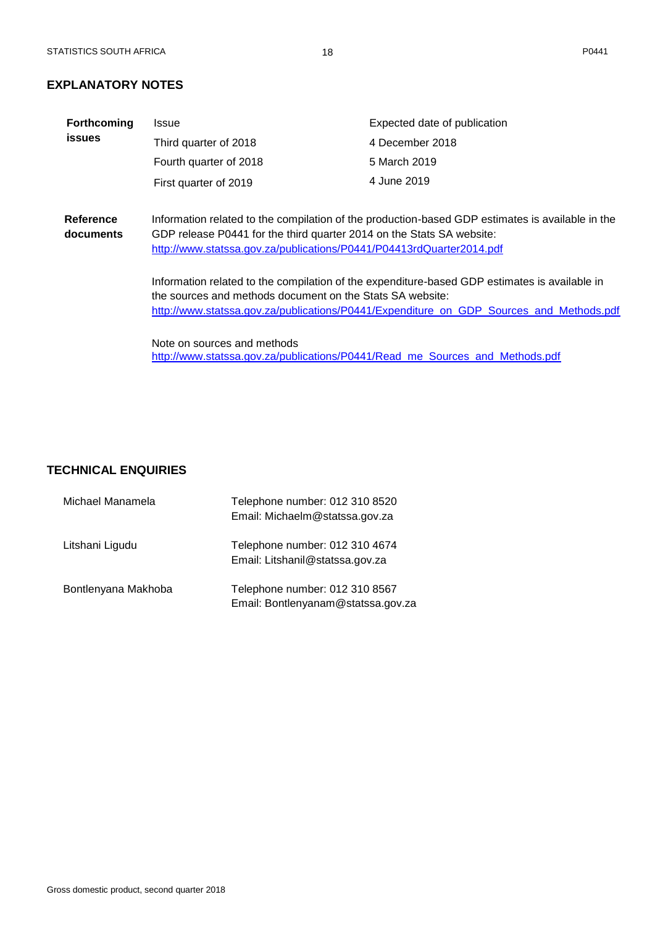# <span id="page-18-0"></span>**EXPLANATORY NOTES**

| <b>Forthcoming</b>     | Issue                                                                                                                                                                                                                                             | Expected date of publication                                                                                                                                                             |  |  |  |  |  |  |
|------------------------|---------------------------------------------------------------------------------------------------------------------------------------------------------------------------------------------------------------------------------------------------|------------------------------------------------------------------------------------------------------------------------------------------------------------------------------------------|--|--|--|--|--|--|
| <b>issues</b>          | Third quarter of 2018                                                                                                                                                                                                                             | 4 December 2018                                                                                                                                                                          |  |  |  |  |  |  |
|                        | Fourth quarter of 2018                                                                                                                                                                                                                            | 5 March 2019                                                                                                                                                                             |  |  |  |  |  |  |
|                        | First quarter of 2019                                                                                                                                                                                                                             | 4 June 2019                                                                                                                                                                              |  |  |  |  |  |  |
|                        |                                                                                                                                                                                                                                                   |                                                                                                                                                                                          |  |  |  |  |  |  |
| Reference<br>documents | Information related to the compilation of the production-based GDP estimates is available in the<br>GDP release P0441 for the third quarter 2014 on the Stats SA website:<br>http://www.statssa.gov.za/publications/P0441/P04413rdQuarter2014.pdf |                                                                                                                                                                                          |  |  |  |  |  |  |
|                        | the sources and methods document on the Stats SA website:                                                                                                                                                                                         | Information related to the compilation of the expenditure-based GDP estimates is available in<br>http://www.statssa.gov.za/publications/P0441/Expenditure_on_GDP_Sources_and_Methods.pdf |  |  |  |  |  |  |
|                        | Note on sources and methods<br>http://www.statssa.gov.za/publications/P0441/Read me Sources and Methods.pdf                                                                                                                                       |                                                                                                                                                                                          |  |  |  |  |  |  |

# <span id="page-18-1"></span>**TECHNICAL ENQUIRIES**

| Michael Manamela    | Telephone number: 012 310 8520<br>Email: Michaelm@statssa.gov.za     |
|---------------------|----------------------------------------------------------------------|
| Litshani Ligudu     | Telephone number: 012 310 4674<br>Email: Litshanil@statssa.gov.za    |
| Bontlenyana Makhoba | Telephone number: 012 310 8567<br>Email: Bontlenyanam@statssa.gov.za |